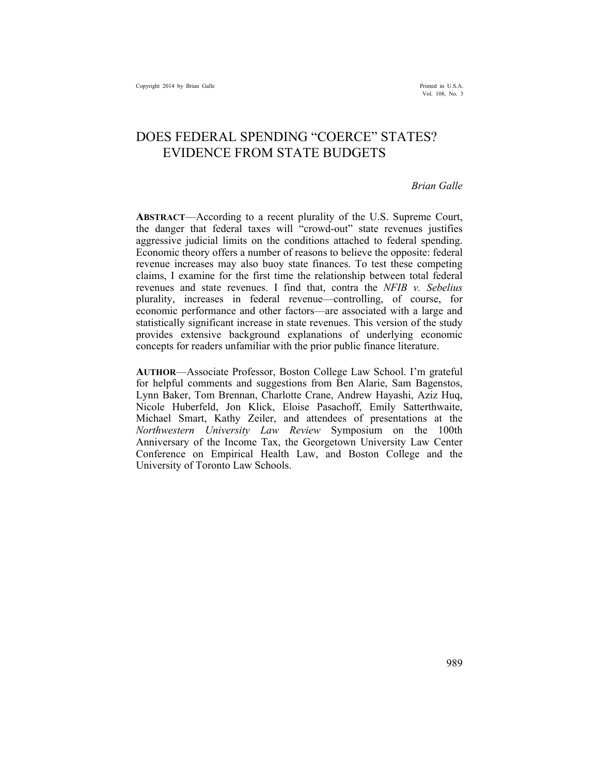# DOES FEDERAL SPENDING "COERCE" STATES? EVIDENCE FROM STATE BUDGETS

#### *Brian Galle*

**ABSTRACT**—According to a recent plurality of the U.S. Supreme Court, the danger that federal taxes will "crowd-out" state revenues justifies aggressive judicial limits on the conditions attached to federal spending. Economic theory offers a number of reasons to believe the opposite: federal revenue increases may also buoy state finances. To test these competing claims, I examine for the first time the relationship between total federal revenues and state revenues. I find that, contra the *NFIB v. Sebelius* plurality, increases in federal revenue—controlling, of course, for economic performance and other factors—are associated with a large and statistically significant increase in state revenues. This version of the study provides extensive background explanations of underlying economic concepts for readers unfamiliar with the prior public finance literature.

**AUTHOR**—Associate Professor, Boston College Law School. I'm grateful for helpful comments and suggestions from Ben Alarie, Sam Bagenstos, Lynn Baker, Tom Brennan, Charlotte Crane, Andrew Hayashi, Aziz Huq, Nicole Huberfeld, Jon Klick, Eloise Pasachoff, Emily Satterthwaite, Michael Smart, Kathy Zeiler, and attendees of presentations at the *Northwestern University Law Review* Symposium on the 100th Anniversary of the Income Tax, the Georgetown University Law Center Conference on Empirical Health Law, and Boston College and the University of Toronto Law Schools.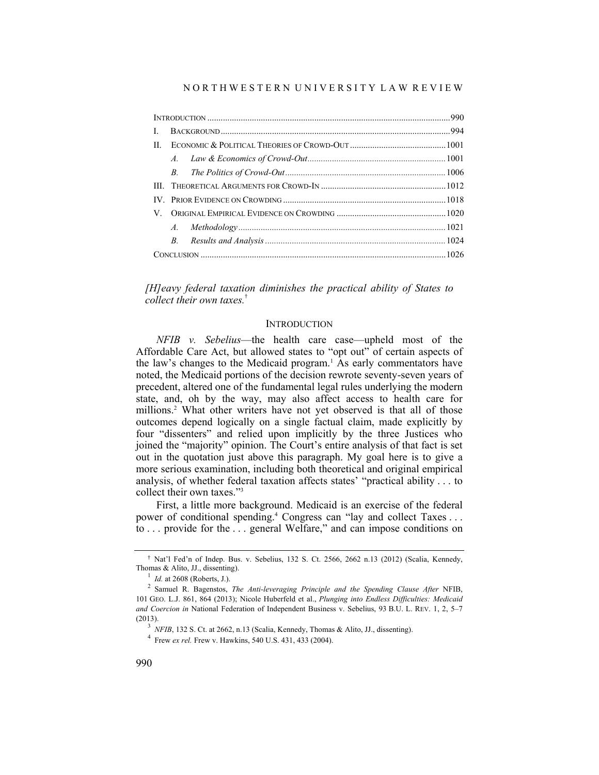#### N O R T H W E S T E R N U N I V E R S I T Y L A W R E V I E W

| $\mathbf{I}$ . |  |  |  |
|----------------|--|--|--|
| H.             |  |  |  |
|                |  |  |  |
|                |  |  |  |
|                |  |  |  |
|                |  |  |  |
|                |  |  |  |
|                |  |  |  |
|                |  |  |  |
|                |  |  |  |

*[H]eavy federal taxation diminishes the practical ability of States to collect their own taxes.*†

#### **INTRODUCTION**

*NFIB v. Sebelius*—the health care case—upheld most of the Affordable Care Act, but allowed states to "opt out" of certain aspects of the law's changes to the Medicaid program.<sup>1</sup> As early commentators have noted, the Medicaid portions of the decision rewrote seventy-seven years of precedent, altered one of the fundamental legal rules underlying the modern state, and, oh by the way, may also affect access to health care for millions.2 What other writers have not yet observed is that all of those outcomes depend logically on a single factual claim, made explicitly by four "dissenters" and relied upon implicitly by the three Justices who joined the "majority" opinion. The Court's entire analysis of that fact is set out in the quotation just above this paragraph. My goal here is to give a more serious examination, including both theoretical and original empirical analysis, of whether federal taxation affects states' "practical ability . . . to collect their own taxes."3

First, a little more background. Medicaid is an exercise of the federal power of conditional spending.<sup>4</sup> Congress can "lay and collect Taxes ... to . . . provide for the . . . general Welfare," and can impose conditions on

<sup>†</sup> Nat'l Fed'n of Indep. Bus. v. Sebelius, 132 S. Ct. 2566, 2662 n.13 (2012) (Scalia, Kennedy, Thomas & Alito, JJ., dissenting).

<sup>1</sup> *Id.* at 2608 (Roberts, J.). 2 Samuel R. Bagenstos, *The Anti-leveraging Principle and the Spending Clause After* NFIB, 101 GEO. L.J. 861, 864 (2013); Nicole Huberfeld et al., *Plunging into Endless Difficulties: Medicaid and Coercion in* National Federation of Independent Business v. Sebelius, 93 B.U. L. REV. 1, 2, 5–7 (2013). 3 *NFIB*, 132 S. Ct. at 2662, n.13 (Scalia, Kennedy, Thomas & Alito, JJ., dissenting).

<sup>4</sup> Frew *ex rel.* Frew v. Hawkins, 540 U.S. 431, 433 (2004).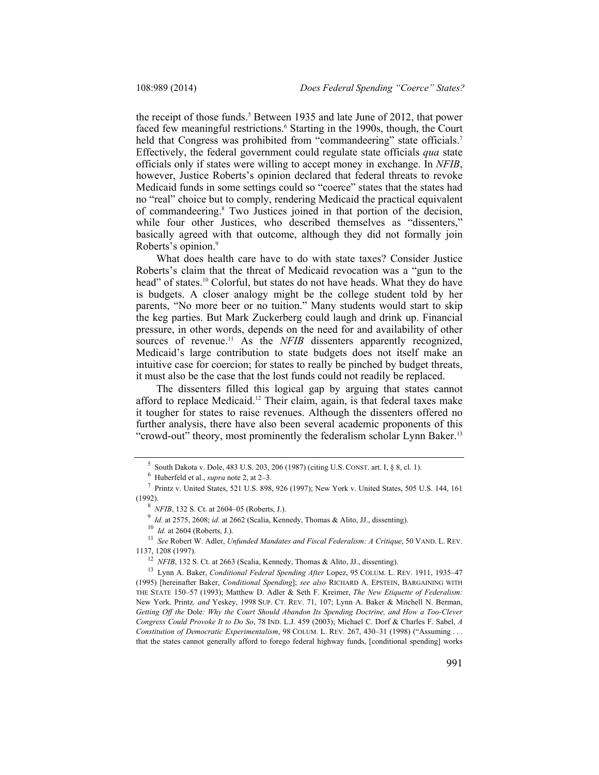the receipt of those funds.<sup>5</sup> Between 1935 and late June of 2012, that power faced few meaningful restrictions.<sup>6</sup> Starting in the 1990s, though, the Court held that Congress was prohibited from "commandeering" state officials.<sup>7</sup> Effectively, the federal government could regulate state officials *qua* state officials only if states were willing to accept money in exchange. In *NFIB*, however, Justice Roberts's opinion declared that federal threats to revoke Medicaid funds in some settings could so "coerce" states that the states had no "real" choice but to comply, rendering Medicaid the practical equivalent of commandeering.<sup>8</sup> Two Justices joined in that portion of the decision, while four other Justices, who described themselves as "dissenters," basically agreed with that outcome, although they did not formally join Roberts's opinion.<sup>9</sup>

What does health care have to do with state taxes? Consider Justice Roberts's claim that the threat of Medicaid revocation was a "gun to the head" of states.<sup>10</sup> Colorful, but states do not have heads. What they do have is budgets. A closer analogy might be the college student told by her parents, "No more beer or no tuition." Many students would start to skip the keg parties. But Mark Zuckerberg could laugh and drink up. Financial pressure, in other words, depends on the need for and availability of other sources of revenue.<sup>11</sup> As the *NFIB* dissenters apparently recognized, Medicaid's large contribution to state budgets does not itself make an intuitive case for coercion; for states to really be pinched by budget threats, it must also be the case that the lost funds could not readily be replaced.

The dissenters filled this logical gap by arguing that states cannot afford to replace Medicaid.<sup>12</sup> Their claim, again, is that federal taxes make it tougher for states to raise revenues. Although the dissenters offered no further analysis, there have also been several academic proponents of this "crowd-out" theory, most prominently the federalism scholar Lynn Baker.<sup>13</sup>

<sup>11</sup> *See* Robert W. Adler, *Unfunded Mandates and Fiscal Federalism: A Critique*, 50 VAND. L. REV. 1137, 1208 (1997).

<sup>&</sup>lt;sup>5</sup> South Dakota v. Dole, 483 U.S. 203, 206 (1987) (citing U.S. CONST. art. I, § 8, cl. 1).<br><sup>6</sup> Huberfeld et al., *supra* note 2, at 2–3.<br><sup>7</sup> Printz v. United States. 521 U.S. 898, 926 (1997); New York v. United States. 5

<sup>(1992).</sup>

<sup>&</sup>lt;sup>8</sup> *NFIB*, 132 S. Ct. at 2604–05 (Roberts, J.).<br><sup>9</sup> *Id.* at 2575, 2608; *id.* at 2662 (Scalia, Kennedy, Thomas & Alito, JJ., dissenting).<br><sup>10</sup> *Id.* at 2604 (Roberts, J.).

<sup>&</sup>lt;sup>12</sup> *NFIB*, 132 S. Ct. at 2663 (Scalia, Kennedy, Thomas & Alito, JJ., dissenting). 13 Lynn A. Baker, *Conditional Federal Spending After* Lopez, 95 COLUM. L. REV. 1911, 1935–47 (1995) [hereinafter Baker, *Conditional Spending*]; *see also* RICHARD A. EPSTEIN, BARGAINING WITH THE STATE 150–57 (1993); Matthew D. Adler & Seth F. Kreimer, *The New Etiquette of Federalism:*  New York*,* Printz*, and* Yeskey, 1998 SUP. CT. REV. 71, 107; Lynn A. Baker & Mitchell N. Berman, *Getting Off the* Dole*: Why the Court Should Abandon Its Spending Doctrine, and How a Too-Clever Congress Could Provoke It to Do So*, 78 IND. L.J. 459 (2003); Michael C. Dorf & Charles F. Sabel, *A Constitution of Democratic Experimentalism*, 98 COLUM. L. REV. 267, 430–31 (1998) ("Assuming . . . that the states cannot generally afford to forego federal highway funds, [conditional spending] works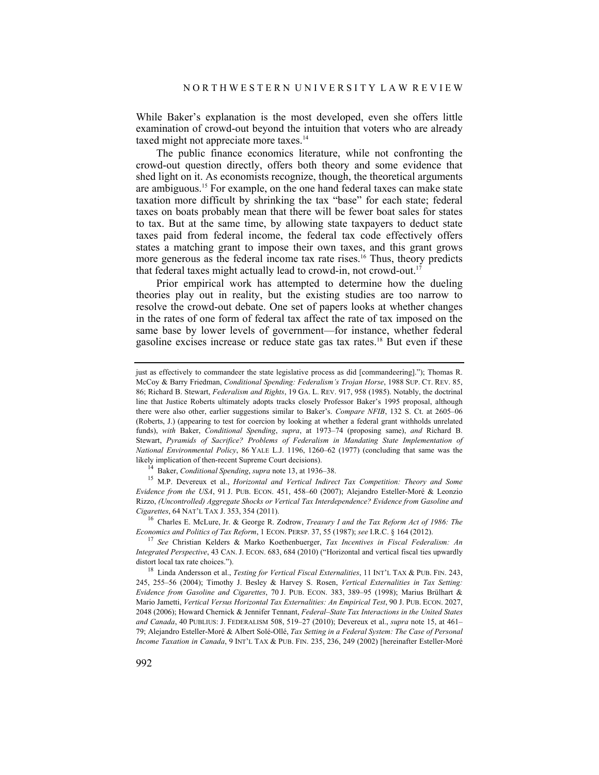While Baker's explanation is the most developed, even she offers little examination of crowd-out beyond the intuition that voters who are already taxed might not appreciate more taxes.<sup>14</sup>

The public finance economics literature, while not confronting the crowd-out question directly, offers both theory and some evidence that shed light on it. As economists recognize, though, the theoretical arguments are ambiguous.15 For example, on the one hand federal taxes can make state taxation more difficult by shrinking the tax "base" for each state; federal taxes on boats probably mean that there will be fewer boat sales for states to tax. But at the same time, by allowing state taxpayers to deduct state taxes paid from federal income, the federal tax code effectively offers states a matching grant to impose their own taxes, and this grant grows more generous as the federal income tax rate rises.<sup>16</sup> Thus, theory predicts that federal taxes might actually lead to crowd-in, not crowd-out.<sup>17</sup>

Prior empirical work has attempted to determine how the dueling theories play out in reality, but the existing studies are too narrow to resolve the crowd-out debate. One set of papers looks at whether changes in the rates of one form of federal tax affect the rate of tax imposed on the same base by lower levels of government—for instance, whether federal gasoline excises increase or reduce state gas tax rates.18 But even if these

*Evidence from the USA*, 91 J. PUB. ECON. 451, 458–60 (2007); Alejandro Esteller-Moré & Leonzio Rizzo, *(Uncontrolled) Aggregate Shocks or Vertical Tax Interdependence? Evidence from Gasoline and* 

*Cigarettes*, 64 NAT'L TAX J. 353, 354 (2011). 16 Charles E. McLure, Jr. & George R. Zodrow, *Treasury I and the Tax Reform Act of 1986: The Economics and Politics of Tax Reform*, 1 ECON. PERSP. 37, 55 (1987); *see* I.R.C. § 164 (2012). 17 *See* Christian Kelders & Marko Koethenbuerger, *Tax Incentives in Fiscal Federalism: An* 

*Integrated Perspective*, 43 CAN. J. ECON. 683, 684 (2010) ("Horizontal and vertical fiscal ties upwardly distort local tax rate choices.").<br><sup>18</sup> Linda Andersson et al., *Testing for Vertical Fiscal Externalities*, 11 INT'L TAX & PUB. FIN. 243,

245, 255–56 (2004); Timothy J. Besley & Harvey S. Rosen, *Vertical Externalities in Tax Setting: Evidence from Gasoline and Cigarettes*, 70 J. PUB. ECON. 383, 389–95 (1998); Marius Brülhart & Mario Jametti, *Vertical Versus Horizontal Tax Externalities: An Empirical Test*, 90 J. PUB. ECON. 2027, 2048 (2006); Howard Chernick & Jennifer Tennant, *Federal–State Tax Interactions in the United States and Canada*, 40 PUBLIUS: J. FEDERALISM 508, 519–27 (2010); Devereux et al., *supra* note 15, at 461– 79; Alejandro Esteller-Moré & Albert Solé-Ollé, *Tax Setting in a Federal System: The Case of Personal Income Taxation in Canada*, 9 INT'L TAX & PUB. FIN. 235, 236, 249 (2002) [hereinafter Esteller-Moré

just as effectively to commandeer the state legislative process as did [commandeering]."); Thomas R. McCoy & Barry Friedman, *Conditional Spending: Federalism's Trojan Horse*, 1988 SUP. CT. REV. 85, 86; Richard B. Stewart, *Federalism and Rights*, 19 GA. L. REV. 917, 958 (1985). Notably, the doctrinal line that Justice Roberts ultimately adopts tracks closely Professor Baker's 1995 proposal, although there were also other, earlier suggestions similar to Baker's. *Compare NFIB*, 132 S. Ct. at 2605–06 (Roberts, J.) (appearing to test for coercion by looking at whether a federal grant withholds unrelated funds), *with* Baker, *Conditional Spending*, *supra*, at 1973–74 (proposing same), *and* Richard B. Stewart, *Pyramids of Sacrifice? Problems of Federalism in Mandating State Implementation of National Environmental Policy*, 86 YALE L.J. 1196, 1260–62 (1977) (concluding that same was the likely implication of then-recent Supreme Court decisions).<br><sup>14</sup> Baker, *Conditional Spending*, *supra* note 13, at 1936–38.<br><sup>15</sup> M.P. Devereux et al., *Horizontal and Vertical Indirect Tax Competition: Theory and Some*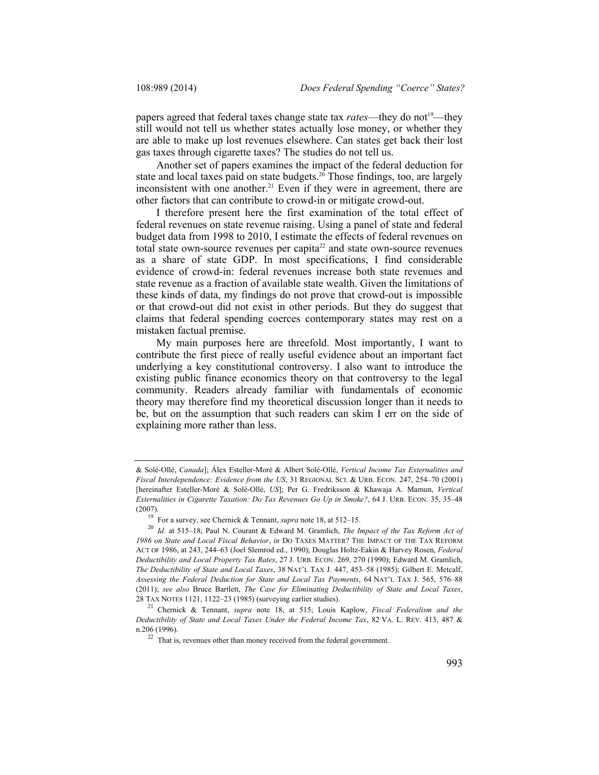papers agreed that federal taxes change state tax *rates*—they do not<sup>19</sup>—they still would not tell us whether states actually lose money, or whether they are able to make up lost revenues elsewhere. Can states get back their lost gas taxes through cigarette taxes? The studies do not tell us.

Another set of papers examines the impact of the federal deduction for state and local taxes paid on state budgets.<sup>20</sup> Those findings, too, are largely inconsistent with one another.<sup>21</sup> Even if they were in agreement, there are other factors that can contribute to crowd-in or mitigate crowd-out.

I therefore present here the first examination of the total effect of federal revenues on state revenue raising. Using a panel of state and federal budget data from 1998 to 2010, I estimate the effects of federal revenues on total state own-source revenues per capita<sup>22</sup> and state own-source revenues as a share of state GDP. In most specifications, I find considerable evidence of crowd-in: federal revenues increase both state revenues and state revenue as a fraction of available state wealth. Given the limitations of these kinds of data, my findings do not prove that crowd-out is impossible or that crowd-out did not exist in other periods. But they do suggest that claims that federal spending coerces contemporary states may rest on a mistaken factual premise.

My main purposes here are threefold. Most importantly, I want to contribute the first piece of really useful evidence about an important fact underlying a key constitutional controversy. I also want to introduce the existing public finance economics theory on that controversy to the legal community. Readers already familiar with fundamentals of economic theory may therefore find my theoretical discussion longer than it needs to be, but on the assumption that such readers can skim I err on the side of explaining more rather than less.

<sup>&</sup>amp; Solé-Ollé, *Canada*]; Álex Esteller-Moré & Albert Solé-Ollé, *Vertical Income Tax Externalities and Fiscal Interdependence: Evidence from the US*, 31 REGIONAL SCI. & URB. ECON. 247, 254–70 (2001) [hereinafter Esteller-Moré & Solé-Ollé, *US*]; Per G. Fredriksson & Khawaja A. Mamun, *Vertical Externalities in Cigarette Taxation: Do Tax Revenues Go Up in Smoke?*, 64 J. URB. ECON. 35, 35–48 (2007). <sup>19</sup> For a survey, see Chernick & Tennant, *supra* note 18, at 512–15.

<sup>&</sup>lt;sup>20</sup> Id. at 515–18; Paul N. Courant & Edward M. Gramlich, *The Impact of the Tax Reform Act of 1986 on State and Local Fiscal Behavior*, *in* DO TAXES MATTER? THE IMPACT OF THE TAX REFORM ACT OF 1986, at 243, 244–63 (Joel Slemrod ed., 1990); Douglas Holtz-Eakin & Harvey Rosen, *Federal Deductibility and Local Property Tax Rates*, 27 J. URB. ECON. 269, 270 (1990); Edward M. Gramlich, *The Deductibility of State and Local Taxes*, 38 NAT'L TAX J. 447, 453–58 (1985); Gilbert E. Metcalf, *Assessing the Federal Deduction for State and Local Tax Payments*, 64 NAT'L TAX J. 565, 576–88 (2011); *see also* Bruce Bartlett, *The Case for Eliminating Deductibility of State and Local Taxes*, 28 TAX NOTES 1121, 1122–23 (1985) (surveying earlier studies). 21 Chernick & Tennant, *supra* note 18, at 515; Louis Kaplow, *Fiscal Federalism and the* 

*Deductibility of State and Local Taxes Under the Federal Income Tax*, 82 VA. L. REV. 413, 487 & n.206 (1996).<br><sup>22</sup> That is, revenues other than money received from the federal government.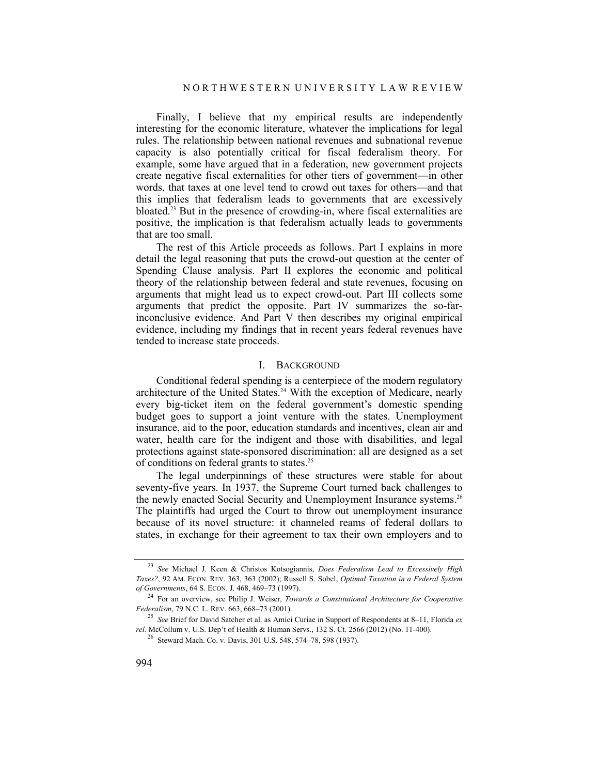Finally, I believe that my empirical results are independently interesting for the economic literature, whatever the implications for legal rules. The relationship between national revenues and subnational revenue capacity is also potentially critical for fiscal federalism theory. For example, some have argued that in a federation, new government projects create negative fiscal externalities for other tiers of government—in other words, that taxes at one level tend to crowd out taxes for others—and that this implies that federalism leads to governments that are excessively bloated.23 But in the presence of crowding-in, where fiscal externalities are positive, the implication is that federalism actually leads to governments that are too small.

The rest of this Article proceeds as follows. Part I explains in more detail the legal reasoning that puts the crowd-out question at the center of Spending Clause analysis. Part II explores the economic and political theory of the relationship between federal and state revenues, focusing on arguments that might lead us to expect crowd-out. Part III collects some arguments that predict the opposite. Part IV summarizes the so-farinconclusive evidence. And Part V then describes my original empirical evidence, including my findings that in recent years federal revenues have tended to increase state proceeds.

### I. BACKGROUND

Conditional federal spending is a centerpiece of the modern regulatory architecture of the United States.<sup>24</sup> With the exception of Medicare, nearly every big-ticket item on the federal government's domestic spending budget goes to support a joint venture with the states. Unemployment insurance, aid to the poor, education standards and incentives, clean air and water, health care for the indigent and those with disabilities, and legal protections against state-sponsored discrimination: all are designed as a set of conditions on federal grants to states.<sup>25</sup>

The legal underpinnings of these structures were stable for about seventy-five years. In 1937, the Supreme Court turned back challenges to the newly enacted Social Security and Unemployment Insurance systems.26 The plaintiffs had urged the Court to throw out unemployment insurance because of its novel structure: it channeled reams of federal dollars to states, in exchange for their agreement to tax their own employers and to

<sup>23</sup> *See* Michael J. Keen & Christos Kotsogiannis, *Does Federalism Lead to Excessively High Taxes?*, 92 AM. ECON. REV. 363, 363 (2002); Russell S. Sobel, *Optimal Taxation in a Federal System* 

*of Governments*, 64 S. ECON. J. 468, 469–73 (1997).<br><sup>24</sup> For an overview, see Philip J. Weiser, *Towards a Constitutional Architecture for Cooperative Federalism*, 79 N.C. L. REV. 663, 668–73 (2001).

<sup>&</sup>lt;sup>25</sup> *See* Brief for David Satcher et al. as Amici Curiae in Support of Respondents at 8–11, Florida *ex rel.* McCollum v. U.S. Dep't of Health & Human Servs., 132 S. Ct. 2566 (2012) (No. 11-400).

<sup>26</sup> Steward Mach. Co. v. Davis, 301 U.S. 548, 574–78, 598 (1937).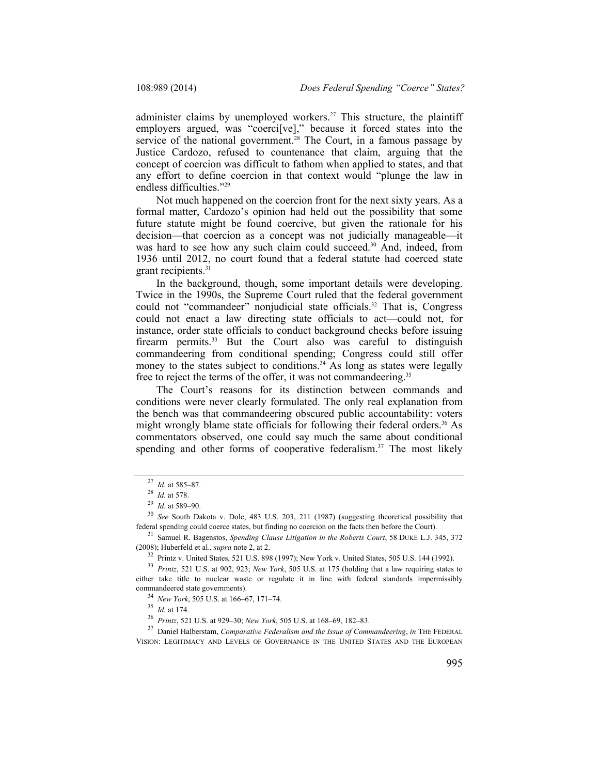administer claims by unemployed workers.<sup>27</sup> This structure, the plaintiff employers argued, was "coerci[ve]," because it forced states into the service of the national government.<sup>28</sup> The Court, in a famous passage by Justice Cardozo, refused to countenance that claim, arguing that the concept of coercion was difficult to fathom when applied to states, and that any effort to define coercion in that context would "plunge the law in endless difficulties."29

Not much happened on the coercion front for the next sixty years. As a formal matter, Cardozo's opinion had held out the possibility that some future statute might be found coercive, but given the rationale for his decision—that coercion as a concept was not judicially manageable—it was hard to see how any such claim could succeed.<sup>30</sup> And, indeed, from 1936 until 2012, no court found that a federal statute had coerced state grant recipients.<sup>31</sup>

In the background, though, some important details were developing. Twice in the 1990s, the Supreme Court ruled that the federal government could not "commandeer" nonjudicial state officials.<sup>32</sup> That is, Congress could not enact a law directing state officials to act—could not, for instance, order state officials to conduct background checks before issuing firearm permits.<sup>33</sup> But the Court also was careful to distinguish commandeering from conditional spending; Congress could still offer money to the states subject to conditions.<sup>34</sup> As long as states were legally free to reject the terms of the offer, it was not commandeering.<sup>35</sup>

The Court's reasons for its distinction between commands and conditions were never clearly formulated. The only real explanation from the bench was that commandeering obscured public accountability: voters might wrongly blame state officials for following their federal orders.<sup>36</sup> As commentators observed, one could say much the same about conditional spending and other forms of cooperative federalism.<sup>37</sup> The most likely

<sup>27</sup> *Id.* at 585–87. 28 *Id.* at 578. 29 *Id.* at 589–90. 30 *See* South Dakota v. Dole, 483 U.S. 203, 211 (1987) (suggesting theoretical possibility that

federal spending could coerce states, but finding no coercion on the facts then before the Court). 31 Samuel R. Bagenstos, *Spending Clause Litigation in the Roberts Court*, 58 DUKE L.J. 345, 372

<sup>(2008);</sup> Huberfeld et al., *supra* note 2, at 2.<br><sup>32</sup> Printz v. United States, 521 U.S. 898 (1997); New York v. United States, 505 U.S. 144 (1992).<br><sup>33</sup> Printz, 521 U.S. at 902, 923; New York, 505 U.S. at 175 (holding that either take title to nuclear waste or regulate it in line with federal standards impermissibly commandeered state governments).<br><sup>34</sup> *New York*, 505 U.S. at 166–67, 171–74.<br><sup>35</sup> *Id.* at 174.<br><sup>36</sup> *Printz*, 521 U.S. at 929–30; *New York*, 505 U.S. at 168–69, 182–83.

<sup>&</sup>lt;sup>37</sup> Daniel Halberstam, *Comparative Federalism and the Issue of Commandeering*, *in* THE FEDERAL VISION: LEGITIMACY AND LEVELS OF GOVERNANCE IN THE UNITED STATES AND THE EUROPEAN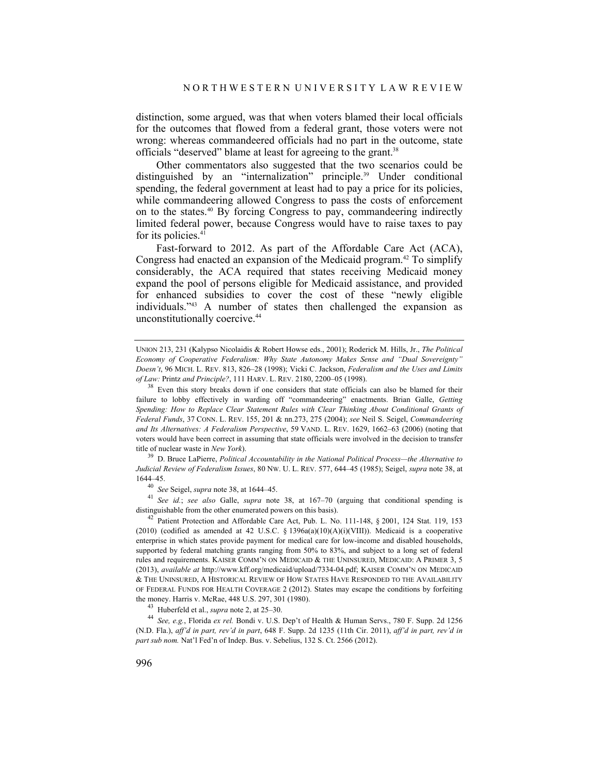distinction, some argued, was that when voters blamed their local officials for the outcomes that flowed from a federal grant, those voters were not wrong: whereas commandeered officials had no part in the outcome, state officials "deserved" blame at least for agreeing to the grant.<sup>38</sup>

Other commentators also suggested that the two scenarios could be distinguished by an "internalization" principle.<sup>39</sup> Under conditional spending, the federal government at least had to pay a price for its policies, while commandeering allowed Congress to pass the costs of enforcement on to the states.40 By forcing Congress to pay, commandeering indirectly limited federal power, because Congress would have to raise taxes to pay for its policies.<sup>41</sup>

Fast-forward to 2012. As part of the Affordable Care Act (ACA), Congress had enacted an expansion of the Medicaid program.<sup>42</sup> To simplify considerably, the ACA required that states receiving Medicaid money expand the pool of persons eligible for Medicaid assistance, and provided for enhanced subsidies to cover the cost of these "newly eligible individuals."43 A number of states then challenged the expansion as unconstitutionally coercive.<sup>44</sup>

*Judicial Review of Federalism Issues*, 80 NW. U. L. REV. 577, 644–45 (1985); Seigel, *supra* note 38, at

1644–45. 40 *See* Seigel, *supra* note 38, at 1644–45. 41 *See id.*; *see also* Galle, *supra* note 38, at 167–70 (arguing that conditional spending is

 $42$  Patient Protection and Affordable Care Act, Pub. L. No. 111-148, § 2001, 124 Stat. 119, 153 (2010) (codified as amended at 42 U.S.C. § 1396a(a)(10)(A)(i)(VIII)). Medicaid is a cooperative enterprise in which states provide payment for medical care for low-income and disabled households, supported by federal matching grants ranging from 50% to 83%, and subject to a long set of federal rules and requirements. KAISER COMM'N ON MEDICAID & THE UNINSURED, MEDICAID: A PRIMER 3, 5 (2013), *available at* http://www.kff.org/medicaid/upload/7334-04.pdf; KAISER COMM'N ON MEDICAID & THE UNINSURED, A HISTORICAL REVIEW OF HOW STATES HAVE RESPONDED TO THE AVAILABILITY OF FEDERAL FUNDS FOR HEALTH COVERAGE 2 (2012). States may escape the conditions by forfeiting the money. Harris v. McRae, 448 U.S. 297, 301 (1980).<br> $^{43}$  Huberfeld et al., *supra* note 2, at 25–30.

<sup>44</sup> See, e.g., Florida ex rel. Bondi v. U.S. Dep't of Health & Human Servs., 780 F. Supp. 2d 1256 (N.D. Fla.), *aff'd in part, rev'd in part*, 648 F. Supp. 2d 1235 (11th Cir. 2011), *aff'd in part, rev'd in part sub nom.* Nat'l Fed'n of Indep. Bus. v. Sebelius, 132 S. Ct. 2566 (2012).

UNION 213, 231 (Kalypso Nicolaidis & Robert Howse eds., 2001); Roderick M. Hills, Jr., *The Political Economy of Cooperative Federalism: Why State Autonomy Makes Sense and "Dual Sovereignty" Doesn't*, 96 MICH. L. REV. 813, 826–28 (1998); Vicki C. Jackson, *Federalism and the Uses and Limits of Law: Printz and Principle?*, 111 HARV. L. REV. 2180, 2200–05 (1998). <sup>38</sup> Even this story breaks down if one considers that state officials can also be blamed for their

failure to lobby effectively in warding off "commandeering" enactments. Brian Galle, *Getting Spending: How to Replace Clear Statement Rules with Clear Thinking About Conditional Grants of Federal Funds*, 37 CONN. L. REV. 155, 201 & nn.273, 275 (2004); *see* Neil S. Seigel, *Commandeering and Its Alternatives: A Federalism Perspective*, 59 VAND. L. REV. 1629, 1662–63 (2006) (noting that voters would have been correct in assuming that state officials were involved in the decision to transfer title of nuclear waste in *New York*). 39 D. Bruce LaPierre, *Political Accountability in the National Political Process—the Alternative to*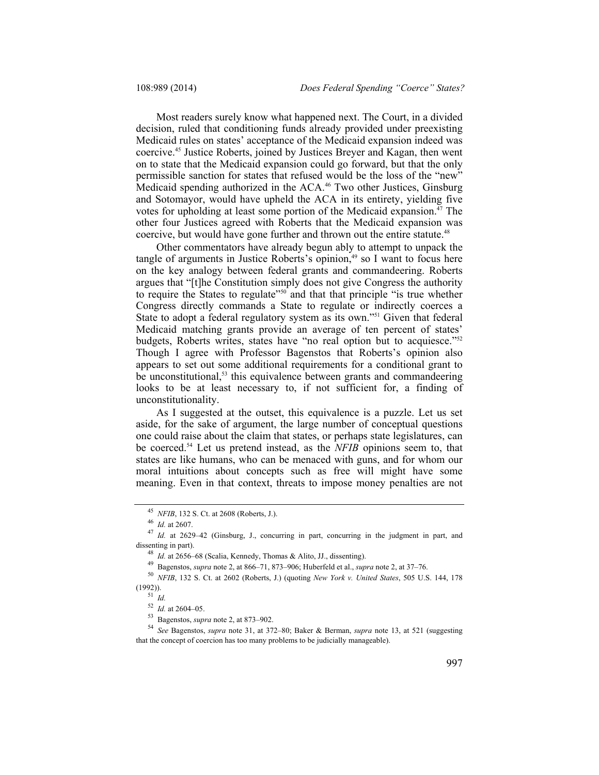Most readers surely know what happened next. The Court, in a divided decision, ruled that conditioning funds already provided under preexisting Medicaid rules on states' acceptance of the Medicaid expansion indeed was coercive.45 Justice Roberts, joined by Justices Breyer and Kagan, then went on to state that the Medicaid expansion could go forward, but that the only permissible sanction for states that refused would be the loss of the "new" Medicaid spending authorized in the ACA.<sup>46</sup> Two other Justices, Ginsburg and Sotomayor, would have upheld the ACA in its entirety, yielding five votes for upholding at least some portion of the Medicaid expansion.<sup>47</sup> The other four Justices agreed with Roberts that the Medicaid expansion was coercive, but would have gone further and thrown out the entire statute.<sup>48</sup>

Other commentators have already begun ably to attempt to unpack the tangle of arguments in Justice Roberts's opinion,<sup>49</sup> so I want to focus here on the key analogy between federal grants and commandeering. Roberts argues that "[t]he Constitution simply does not give Congress the authority to require the States to regulate"<sup>50</sup> and that that principle "is true whether Congress directly commands a State to regulate or indirectly coerces a State to adopt a federal regulatory system as its own."51 Given that federal Medicaid matching grants provide an average of ten percent of states' budgets, Roberts writes, states have "no real option but to acquiesce."<sup>52</sup> Though I agree with Professor Bagenstos that Roberts's opinion also appears to set out some additional requirements for a conditional grant to be unconstitutional,<sup>53</sup> this equivalence between grants and commandeering looks to be at least necessary to, if not sufficient for, a finding of unconstitutionality.

As I suggested at the outset, this equivalence is a puzzle. Let us set aside, for the sake of argument, the large number of conceptual questions one could raise about the claim that states, or perhaps state legislatures, can be coerced.54 Let us pretend instead, as the *NFIB* opinions seem to, that states are like humans, who can be menaced with guns, and for whom our moral intuitions about concepts such as free will might have some meaning. Even in that context, threats to impose money penalties are not

<sup>45</sup> *NFIB*, 132 S. Ct. at 2608 (Roberts, J.). 46 *Id.* at 2607. 47 *Id.* at 2629–42 (Ginsburg, J., concurring in part, concurring in the judgment in part, and dissenting in part).<br>
<sup>48</sup> *Id.* at 2656–68 (Scalia, Kennedy, Thomas & Alito, JJ., dissenting).<br>
<sup>49</sup> Bagenstos, *supra* note 2, at 866–71, 873–906; Huberfeld et al., *supra* note 2, at 37–76.<br>
<sup>50</sup> *NFIB*, 132 S. Ct. at

<sup>(1992)).&</sup>lt;br> $\frac{51}{1}$ *Id.*<br> $\frac{52}{1}$ *Id.* at 2604–05.

<sup>52</sup> *Id.* at 2604–05. 53 Bagenstos, *supra* note 2, at 873–902. 54 *See* Bagenstos, *supra* note 31, at 372–80; Baker & Berman, *supra* note 13, at 521 (suggesting that the concept of coercion has too many problems to be judicially manageable).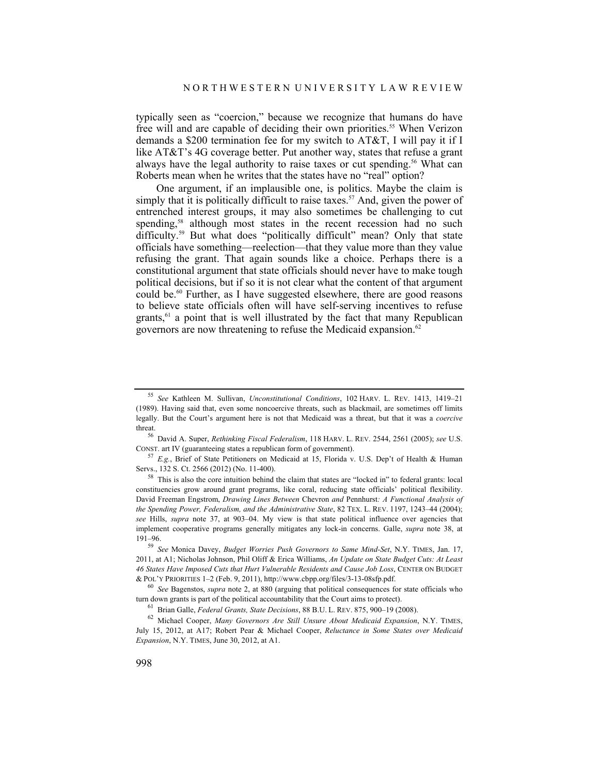typically seen as "coercion," because we recognize that humans do have free will and are capable of deciding their own priorities.<sup>55</sup> When Verizon demands a \$200 termination fee for my switch to AT&T, I will pay it if I like AT&T's 4G coverage better. Put another way, states that refuse a grant always have the legal authority to raise taxes or cut spending.<sup>56</sup> What can Roberts mean when he writes that the states have no "real" option?

One argument, if an implausible one, is politics. Maybe the claim is simply that it is politically difficult to raise taxes.<sup>57</sup> And, given the power of entrenched interest groups, it may also sometimes be challenging to cut spending,<sup>58</sup> although most states in the recent recession had no such difficulty.<sup>59</sup> But what does "politically difficult" mean? Only that state officials have something—reelection—that they value more than they value refusing the grant. That again sounds like a choice. Perhaps there is a constitutional argument that state officials should never have to make tough political decisions, but if so it is not clear what the content of that argument could be.60 Further, as I have suggested elsewhere, there are good reasons to believe state officials often will have self-serving incentives to refuse grants, $61$  a point that is well illustrated by the fact that many Republican governors are now threatening to refuse the Medicaid expansion.<sup>62</sup>

<sup>55</sup> *See* Kathleen M. Sullivan, *Unconstitutional Conditions*, 102 HARV. L. REV. 1413, 1419–21 (1989). Having said that, even some noncoercive threats, such as blackmail, are sometimes off limits legally. But the Court's argument here is not that Medicaid was a threat, but that it was a *coercive*

threat. 56 David A. Super, *Rethinking Fiscal Federalism*, 118 HARV. L. REV. 2544, 2561 (2005); *see* U.S.

<sup>&</sup>lt;sup>57</sup> *E.g.*, Brief of State Petitioners on Medicaid at 15, Florida v. U.S. Dep't of Health & Human Servs., 132 S. Ct. 2566 (2012) (No. 11-400).

 $58$  This is also the core intuition behind the claim that states are "locked in" to federal grants: local constituencies grow around grant programs, like coral, reducing state officials' political flexibility. David Freeman Engstrom, *Drawing Lines Between* Chevron *and* Pennhurst*: A Functional Analysis of the Spending Power, Federalism, and the Administrative State*, 82 TEX. L. REV. 1197, 1243–44 (2004); *see* Hills, *supra* note 37, at 903–04. My view is that state political influence over agencies that implement cooperative programs generally mitigates any lock-in concerns. Galle, *supra* note 38, at 191–96.

<sup>59</sup> *See* Monica Davey, *Budget Worries Push Governors to Same Mind-Set*, N.Y. TIMES, Jan. 17, 2011, at A1; Nicholas Johnson, Phil Oliff & Erica Williams, *An Update on State Budget Cuts: At Least 46 States Have Imposed Cuts that Hurt Vulnerable Residents and Cause Job Loss*, CENTER ON BUDGET & POL'Y PRIORITIES 1–2 (Feb. 9, 2011), http://www.cbpp.org/files/3-13-08sfp.pdf.

 $60$  *See* Bagenstos, *supra* note 2, at 880 (arguing that political consequences for state officials who turn down grants is part of the political accountability that the Court aims to protect).

<sup>&</sup>lt;sup>61</sup> Brian Galle, *Federal Grants, State Decisions, 88 B.U. L. REV. 875, 900–19 (2008).*<br><sup>62</sup> Michael Cooper, *Many Governors Are Still Unsure About Medicaid Expansion, N.Y. TIMES,* 

July 15, 2012, at A17; Robert Pear & Michael Cooper, *Reluctance in Some States over Medicaid Expansion*, N.Y. TIMES, June 30, 2012, at A1.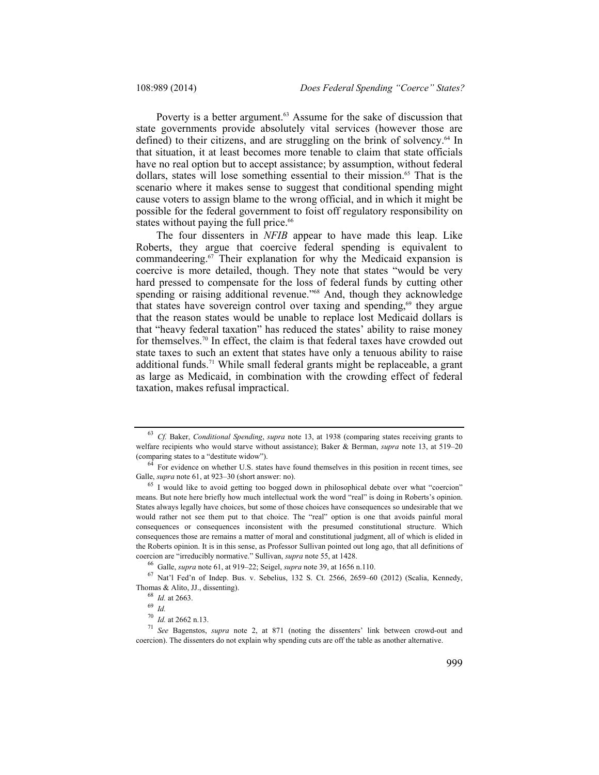Poverty is a better argument.<sup>63</sup> Assume for the sake of discussion that state governments provide absolutely vital services (however those are defined) to their citizens, and are struggling on the brink of solvency.<sup>64</sup> In that situation, it at least becomes more tenable to claim that state officials have no real option but to accept assistance; by assumption, without federal dollars, states will lose something essential to their mission.<sup>65</sup> That is the scenario where it makes sense to suggest that conditional spending might cause voters to assign blame to the wrong official, and in which it might be possible for the federal government to foist off regulatory responsibility on states without paying the full price.<sup>66</sup>

The four dissenters in *NFIB* appear to have made this leap. Like Roberts, they argue that coercive federal spending is equivalent to commandeering.<sup>67</sup> Their explanation for why the Medicaid expansion is coercive is more detailed, though. They note that states "would be very hard pressed to compensate for the loss of federal funds by cutting other spending or raising additional revenue."68 And, though they acknowledge that states have sovereign control over taxing and spending,<sup>69</sup> they argue that the reason states would be unable to replace lost Medicaid dollars is that "heavy federal taxation" has reduced the states' ability to raise money for themselves.<sup>70</sup> In effect, the claim is that federal taxes have crowded out state taxes to such an extent that states have only a tenuous ability to raise additional funds.<sup>71</sup> While small federal grants might be replaceable, a grant as large as Medicaid, in combination with the crowding effect of federal taxation, makes refusal impractical.

<sup>63</sup> *Cf.* Baker, *Conditional Spending*, *supra* note 13, at 1938 (comparing states receiving grants to welfare recipients who would starve without assistance); Baker & Berman, *supra* note 13, at 519–20 (comparing states to a "destitute widow").<br><sup>64</sup> For evidence on whether U.S. states have found themselves in this position in recent times, see

Galle, *supra* note 61, at 923–30 (short answer: no).

<sup>&</sup>lt;sup>65</sup> I would like to avoid getting too bogged down in philosophical debate over what "coercion" means. But note here briefly how much intellectual work the word "real" is doing in Roberts's opinion. States always legally have choices, but some of those choices have consequences so undesirable that we would rather not see them put to that choice. The "real" option is one that avoids painful moral consequences or consequences inconsistent with the presumed constitutional structure. Which consequences those are remains a matter of moral and constitutional judgment, all of which is elided in the Roberts opinion. It is in this sense, as Professor Sullivan pointed out long ago, that all definitions of coercion are "irreducibly normative." Sullivan, *supra* note 55, at 1428.

<sup>&</sup>lt;sup>66</sup> Galle, *supra* note 61, at 919–22; Seigel, *supra* note 39, at 1656 n.110.<br><sup>67</sup> Nat'l Fed'n of Indep. Bus. v. Sebelius, 132 S. Ct. 2566, 2659–60 (2012) (Scalia, Kennedy, Thomas & Alito, JJ., dissenting).

 $^{68}$  *Id.* at 2663.<br>  $^{69}$  *Id.*<br>  $^{70}$  *Id.* at 2662 n.13.

<sup>&</sup>lt;sup>71</sup> *See* Bagenstos, *supra* note 2, at 871 (noting the dissenters' link between crowd-out and coercion). The dissenters do not explain why spending cuts are off the table as another alternative.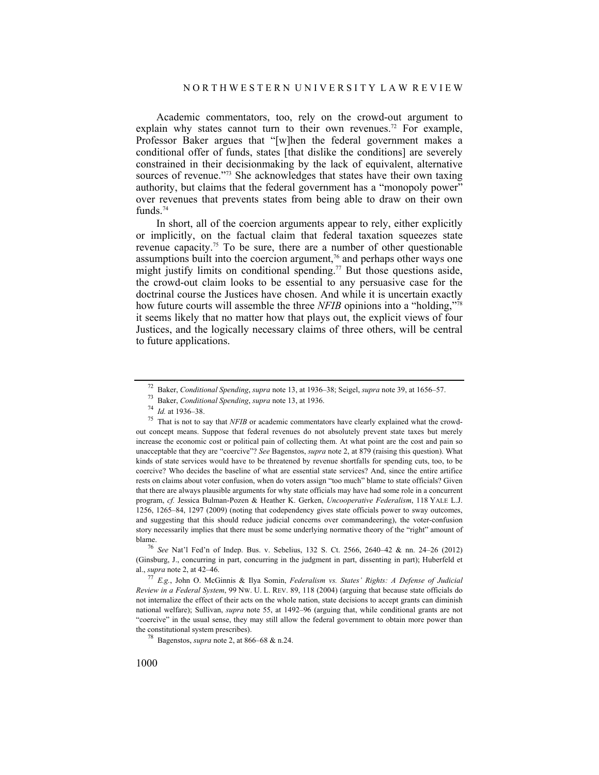Academic commentators, too, rely on the crowd-out argument to explain why states cannot turn to their own revenues.<sup>72</sup> For example, Professor Baker argues that "[w]hen the federal government makes a conditional offer of funds, states [that dislike the conditions] are severely constrained in their decisionmaking by the lack of equivalent, alternative sources of revenue."<sup>73</sup> She acknowledges that states have their own taxing authority, but claims that the federal government has a "monopoly power" over revenues that prevents states from being able to draw on their own funds.<sup>74</sup>

In short, all of the coercion arguments appear to rely, either explicitly or implicitly, on the factual claim that federal taxation squeezes state revenue capacity.75 To be sure, there are a number of other questionable assumptions built into the coercion argument,<sup>76</sup> and perhaps other ways one might justify limits on conditional spending.<sup>77</sup> But those questions aside, the crowd-out claim looks to be essential to any persuasive case for the doctrinal course the Justices have chosen. And while it is uncertain exactly how future courts will assemble the three *NFIB* opinions into a "holding,"<sup>78</sup> it seems likely that no matter how that plays out, the explicit views of four Justices, and the logically necessary claims of three others, will be central to future applications.

<sup>77</sup> *E.g.*, John O. McGinnis & Ilya Somin, *Federalism vs. States' Rights: A Defense of Judicial Review in a Federal System*, 99 NW. U. L. REV. 89, 118 (2004) (arguing that because state officials do not internalize the effect of their acts on the whole nation, state decisions to accept grants can diminish national welfare); Sullivan, *supra* note 55, at 1492–96 (arguing that, while conditional grants are not "coercive" in the usual sense, they may still allow the federal government to obtain more power than the constitutional system prescribes). 78 Bagenstos, *supra* note 2, at 866–68 & n.24.

<sup>72</sup> Baker, *Conditional Spending*, *supra* note 13, at 1936–38; Seigel, *supra* note 39, at 1656–57.

<sup>&</sup>lt;sup>74</sup> Id. at 1936–38.<br><sup>75</sup> That is not to say that *NFIB* or academic commentators have clearly explained what the crowdout concept means. Suppose that federal revenues do not absolutely prevent state taxes but merely increase the economic cost or political pain of collecting them. At what point are the cost and pain so unacceptable that they are "coercive"? *See* Bagenstos, *supra* note 2, at 879 (raising this question). What kinds of state services would have to be threatened by revenue shortfalls for spending cuts, too, to be coercive? Who decides the baseline of what are essential state services? And, since the entire artifice rests on claims about voter confusion, when do voters assign "too much" blame to state officials? Given that there are always plausible arguments for why state officials may have had some role in a concurrent program, *cf.* Jessica Bulman-Pozen & Heather K. Gerken, *Uncooperative Federalism*, 118 YALE L.J. 1256, 1265–84, 1297 (2009) (noting that codependency gives state officials power to sway outcomes, and suggesting that this should reduce judicial concerns over commandeering), the voter-confusion story necessarily implies that there must be some underlying normative theory of the "right" amount of blame. 76 *See* Nat'l Fed'n of Indep. Bus. v. Sebelius, 132 S. Ct. 2566, 2640–42 & nn. 24–26 (2012)

<sup>(</sup>Ginsburg, J., concurring in part, concurring in the judgment in part, dissenting in part); Huberfeld et al., *supra* note 2, at 42–46.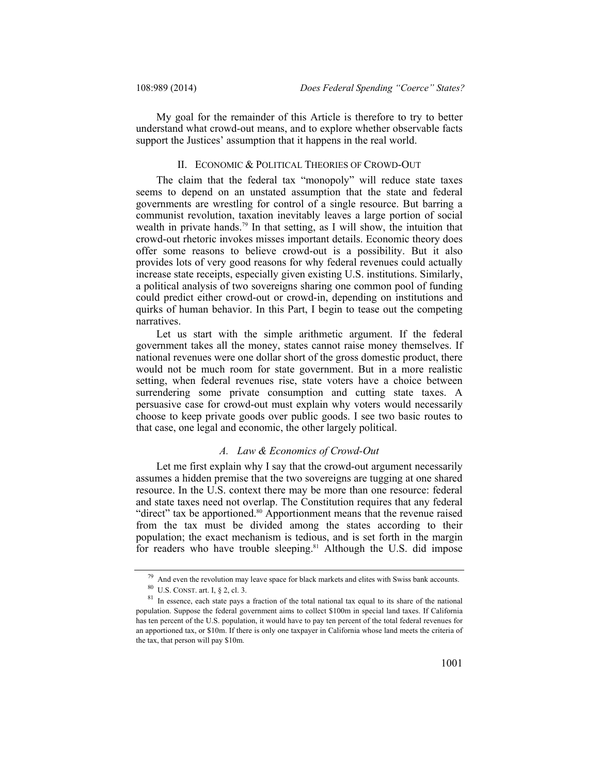My goal for the remainder of this Article is therefore to try to better understand what crowd-out means, and to explore whether observable facts support the Justices' assumption that it happens in the real world.

# II. ECONOMIC & POLITICAL THEORIES OF CROWD-OUT

The claim that the federal tax "monopoly" will reduce state taxes seems to depend on an unstated assumption that the state and federal governments are wrestling for control of a single resource. But barring a communist revolution, taxation inevitably leaves a large portion of social wealth in private hands.<sup>79</sup> In that setting, as I will show, the intuition that crowd-out rhetoric invokes misses important details. Economic theory does offer some reasons to believe crowd-out is a possibility. But it also provides lots of very good reasons for why federal revenues could actually increase state receipts, especially given existing U.S. institutions. Similarly, a political analysis of two sovereigns sharing one common pool of funding could predict either crowd-out or crowd-in, depending on institutions and quirks of human behavior. In this Part, I begin to tease out the competing narratives.

Let us start with the simple arithmetic argument. If the federal government takes all the money, states cannot raise money themselves. If national revenues were one dollar short of the gross domestic product, there would not be much room for state government. But in a more realistic setting, when federal revenues rise, state voters have a choice between surrendering some private consumption and cutting state taxes. A persuasive case for crowd-out must explain why voters would necessarily choose to keep private goods over public goods. I see two basic routes to that case, one legal and economic, the other largely political.

#### *A. Law & Economics of Crowd-Out*

Let me first explain why I say that the crowd-out argument necessarily assumes a hidden premise that the two sovereigns are tugging at one shared resource. In the U.S. context there may be more than one resource: federal and state taxes need not overlap. The Constitution requires that any federal "direct" tax be apportioned.<sup>80</sup> Apportionment means that the revenue raised from the tax must be divided among the states according to their population; the exact mechanism is tedious, and is set forth in the margin for readers who have trouble sleeping.<sup>81</sup> Although the U.S. did impose

<sup>&</sup>lt;sup>79</sup> And even the revolution may leave space for black markets and elites with Swiss bank accounts.<br><sup>80</sup> U.S. CONST. art. I, § 2, cl. 3.<br><sup>81</sup> In essence, each state pays a fraction of the total national tax equal to its s

population. Suppose the federal government aims to collect \$100m in special land taxes. If California has ten percent of the U.S. population, it would have to pay ten percent of the total federal revenues for an apportioned tax, or \$10m. If there is only one taxpayer in California whose land meets the criteria of the tax, that person will pay \$10m.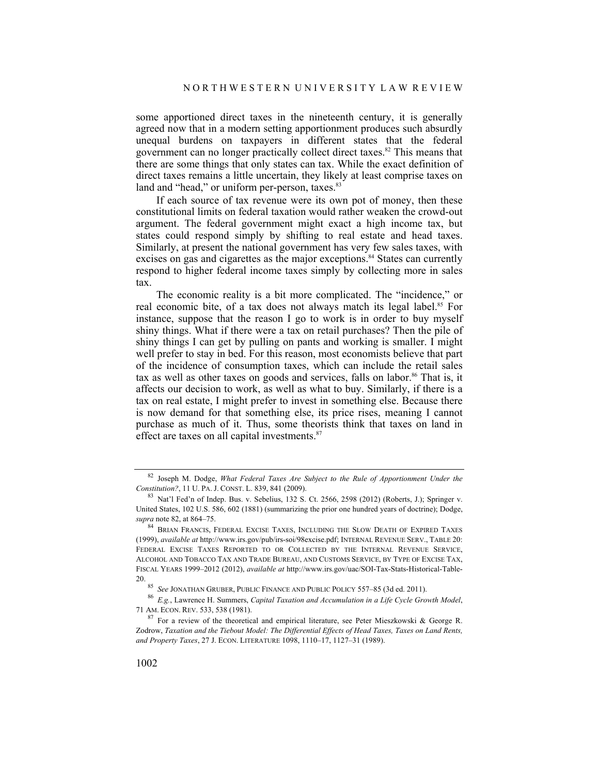some apportioned direct taxes in the nineteenth century, it is generally agreed now that in a modern setting apportionment produces such absurdly unequal burdens on taxpayers in different states that the federal government can no longer practically collect direct taxes.<sup>82</sup> This means that there are some things that only states can tax. While the exact definition of direct taxes remains a little uncertain, they likely at least comprise taxes on land and "head," or uniform per-person, taxes.<sup>83</sup>

If each source of tax revenue were its own pot of money, then these constitutional limits on federal taxation would rather weaken the crowd-out argument. The federal government might exact a high income tax, but states could respond simply by shifting to real estate and head taxes. Similarly, at present the national government has very few sales taxes, with excises on gas and cigarettes as the major exceptions.<sup>84</sup> States can currently respond to higher federal income taxes simply by collecting more in sales tax.

The economic reality is a bit more complicated. The "incidence," or real economic bite, of a tax does not always match its legal label.<sup>85</sup> For instance, suppose that the reason I go to work is in order to buy myself shiny things. What if there were a tax on retail purchases? Then the pile of shiny things I can get by pulling on pants and working is smaller. I might well prefer to stay in bed. For this reason, most economists believe that part of the incidence of consumption taxes, which can include the retail sales tax as well as other taxes on goods and services, falls on labor.<sup>86</sup> That is, it affects our decision to work, as well as what to buy. Similarly, if there is a tax on real estate, I might prefer to invest in something else. Because there is now demand for that something else, its price rises, meaning I cannot purchase as much of it. Thus, some theorists think that taxes on land in effect are taxes on all capital investments.<sup>87</sup>

<sup>82</sup> Joseph M. Dodge, *What Federal Taxes Are Subject to the Rule of Apportionment Under the Constitution?*, 11 U. PA. J. CONST. L. 839, 841 (2009).

<sup>83</sup> Nat'l Fed'n of Indep. Bus. v. Sebelius, 132 S. Ct. 2566, 2598 (2012) (Roberts, J.); Springer v. United States, 102 U.S. 586, 602 (1881) (summarizing the prior one hundred years of doctrine); Dodge, *supra* note 82, at 864–75. 84 BRIAN FRANCIS, FEDERAL EXCISE TAXES, INCLUDING THE SLOW DEATH OF EXPIRED TAXES

<sup>(1999),</sup> *available at* http://www.irs.gov/pub/irs-soi/98excise.pdf; INTERNAL REVENUE SERV., TABLE 20: FEDERAL EXCISE TAXES REPORTED TO OR COLLECTED BY THE INTERNAL REVENUE SERVICE, ALCOHOL AND TOBACCO TAX AND TRADE BUREAU, AND CUSTOMS SERVICE, BY TYPE OF EXCISE TAX, FISCAL YEARS 1999–2012 (2012), *available at* http://www.irs.gov/uac/SOI-Tax-Stats-Historical-Table-20.

<sup>85</sup> *See* JONATHAN GRUBER, PUBLIC FINANCE AND PUBLIC POLICY 557–85 (3d ed. 2011). 86 *E.g.*, Lawrence H. Summers, *Capital Taxation and Accumulation in a Life Cycle Growth Model*, 71 AM. ECON. REV. 533, 538 (1981). <sup>87</sup> For a review of the theoretical and empirical literature, see Peter Mieszkowski & George R.

Zodrow, *Taxation and the Tiebout Model: The Differential Effects of Head Taxes, Taxes on Land Rents, and Property Taxes*, 27 J. ECON. LITERATURE 1098, 1110–17, 1127–31 (1989).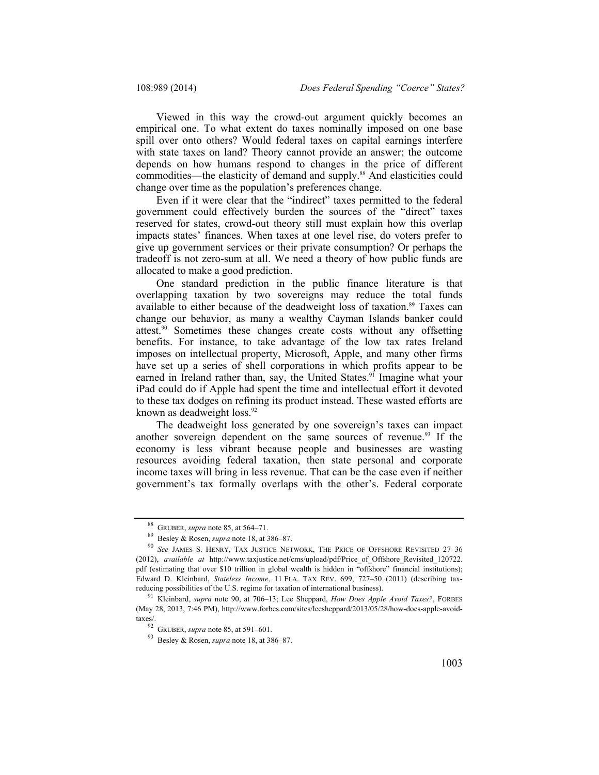Viewed in this way the crowd-out argument quickly becomes an empirical one. To what extent do taxes nominally imposed on one base spill over onto others? Would federal taxes on capital earnings interfere with state taxes on land? Theory cannot provide an answer; the outcome depends on how humans respond to changes in the price of different commodities—the elasticity of demand and supply.88 And elasticities could change over time as the population's preferences change.

Even if it were clear that the "indirect" taxes permitted to the federal government could effectively burden the sources of the "direct" taxes reserved for states, crowd-out theory still must explain how this overlap impacts states' finances. When taxes at one level rise, do voters prefer to give up government services or their private consumption? Or perhaps the tradeoff is not zero-sum at all. We need a theory of how public funds are allocated to make a good prediction.

One standard prediction in the public finance literature is that overlapping taxation by two sovereigns may reduce the total funds available to either because of the deadweight loss of taxation.<sup>89</sup> Taxes can change our behavior, as many a wealthy Cayman Islands banker could attest.90 Sometimes these changes create costs without any offsetting benefits. For instance, to take advantage of the low tax rates Ireland imposes on intellectual property, Microsoft, Apple, and many other firms have set up a series of shell corporations in which profits appear to be earned in Ireland rather than, say, the United States.<sup>91</sup> Imagine what your iPad could do if Apple had spent the time and intellectual effort it devoted to these tax dodges on refining its product instead. These wasted efforts are known as deadweight loss.<sup>92</sup>

The deadweight loss generated by one sovereign's taxes can impact another sovereign dependent on the same sources of revenue.<sup>93</sup> If the economy is less vibrant because people and businesses are wasting resources avoiding federal taxation, then state personal and corporate income taxes will bring in less revenue. That can be the case even if neither government's tax formally overlaps with the other's. Federal corporate

<sup>88</sup> GRUBER, *supra* note 85, at 564–71.

<sup>&</sup>lt;sup>90</sup> See JAMES S. HENRY, TAX JUSTICE NETWORK, THE PRICE OF OFFSHORE REVISITED 27-36 (2012), *available at* http://www.taxjustice.net/cms/upload/pdf/Price\_of\_Offshore\_Revisited\_120722. pdf (estimating that over \$10 trillion in global wealth is hidden in "offshore" financial institutions); Edward D. Kleinbard, *Stateless Income*, 11 FLA. TAX REV. 699, 727–50 (2011) (describing taxreducing possibilities of the U.S. regime for taxation of international business).

<sup>91</sup> Kleinbard, *supra* note 90, at 706–13; Lee Sheppard, *How Does Apple Avoid Taxes?*, FORBES (May 28, 2013, 7:46 PM), http://www.forbes.com/sites/leesheppard/2013/05/28/how-does-apple-avoid-

taxes/. 92 GRUBER, *supra* note 85, at 591–601.

<sup>93</sup> Besley & Rosen, *supra* note 18, at 386–87.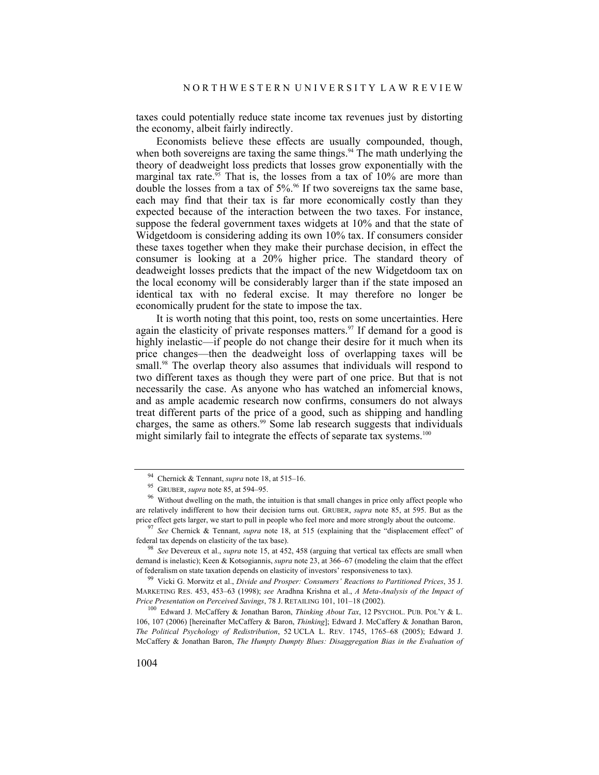taxes could potentially reduce state income tax revenues just by distorting the economy, albeit fairly indirectly.

Economists believe these effects are usually compounded, though, when both sovereigns are taxing the same things.<sup>94</sup> The math underlying the theory of deadweight loss predicts that losses grow exponentially with the marginal tax rate.<sup>95</sup> That is, the losses from a tax of  $10\%$  are more than double the losses from a tax of 5%.<sup>96</sup> If two sovereigns tax the same base, each may find that their tax is far more economically costly than they expected because of the interaction between the two taxes. For instance, suppose the federal government taxes widgets at 10% and that the state of Widgetdoom is considering adding its own 10% tax. If consumers consider these taxes together when they make their purchase decision, in effect the consumer is looking at a 20% higher price. The standard theory of deadweight losses predicts that the impact of the new Widgetdoom tax on the local economy will be considerably larger than if the state imposed an identical tax with no federal excise. It may therefore no longer be economically prudent for the state to impose the tax.

It is worth noting that this point, too, rests on some uncertainties. Here again the elasticity of private responses matters.<sup>97</sup> If demand for a good is highly inelastic—if people do not change their desire for it much when its price changes—then the deadweight loss of overlapping taxes will be small.<sup>98</sup> The overlap theory also assumes that individuals will respond to two different taxes as though they were part of one price. But that is not necessarily the case. As anyone who has watched an infomercial knows, and as ample academic research now confirms, consumers do not always treat different parts of the price of a good, such as shipping and handling charges, the same as others.<sup>99</sup> Some lab research suggests that individuals might similarly fail to integrate the effects of separate tax systems.<sup>100</sup>

<sup>&</sup>lt;sup>94</sup> Chernick & Tennant, *supra* note 18, at 515–16.<br><sup>95</sup> GRUBER, *supra* note 85, at 594–95.<br><sup>96</sup> Without dwelling on the math, the intuition is that small changes in price only affect people who are relatively indifferent to how their decision turns out. GRUBER, *supra* note 85, at 595. But as the price effect gets larger, we start to pull in people who feel more and more strongly about the outcome. 97 *See* Chernick & Tennant, *supra* note 18, at 515 (explaining that the "displacement effect" of

federal tax depends on elasticity of the tax base). 98 *See* Devereux et al., *supra* note 15, at 452, 458 (arguing that vertical tax effects are small when

demand is inelastic); Keen & Kotsogiannis, *supra* note 23, at 366–67 (modeling the claim that the effect of federalism on state taxation depends on elasticity of investors' responsiveness to tax). 99 Vicki G. Morwitz et al., *Divide and Prosper: Consumers' Reactions to Partitioned Prices*, 35 J.

MARKETING RES. 453, 453–63 (1998); *see* Aradhna Krishna et al., *A Meta-Analysis of the Impact of* 

<sup>&</sup>lt;sup>100</sup> Edward J. McCaffery & Jonathan Baron, *Thinking About Tax*, 12 PSYCHOL. PUB. POL'Y & L. 106, 107 (2006) [hereinafter McCaffery & Baron, *Thinking*]; Edward J. McCaffery & Jonathan Baron, *The Political Psychology of Redistribution*, 52 UCLA L. REV. 1745, 1765–68 (2005); Edward J. McCaffery & Jonathan Baron, *The Humpty Dumpty Blues: Disaggregation Bias in the Evaluation of*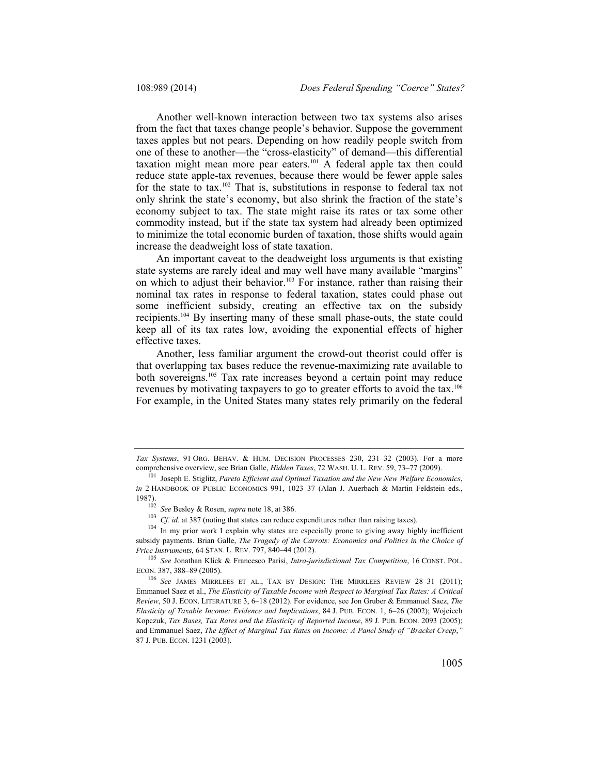Another well-known interaction between two tax systems also arises from the fact that taxes change people's behavior. Suppose the government taxes apples but not pears. Depending on how readily people switch from one of these to another—the "cross-elasticity" of demand—this differential taxation might mean more pear eaters.101 A federal apple tax then could reduce state apple-tax revenues, because there would be fewer apple sales for the state to tax.102 That is, substitutions in response to federal tax not only shrink the state's economy, but also shrink the fraction of the state's economy subject to tax. The state might raise its rates or tax some other commodity instead, but if the state tax system had already been optimized to minimize the total economic burden of taxation, those shifts would again increase the deadweight loss of state taxation.

An important caveat to the deadweight loss arguments is that existing state systems are rarely ideal and may well have many available "margins" on which to adjust their behavior.103 For instance, rather than raising their nominal tax rates in response to federal taxation, states could phase out some inefficient subsidy, creating an effective tax on the subsidy recipients.104 By inserting many of these small phase-outs, the state could keep all of its tax rates low, avoiding the exponential effects of higher effective taxes.

Another, less familiar argument the crowd-out theorist could offer is that overlapping tax bases reduce the revenue-maximizing rate available to both sovereigns.105 Tax rate increases beyond a certain point may reduce revenues by motivating taxpayers to go to greater efforts to avoid the tax.106 For example, in the United States many states rely primarily on the federal

*Tax Systems*, 91 ORG. BEHAV. & HUM. DECISION PROCESSES 230, 231–32 (2003). For a more comprehensive overview, see Brian Galle, *Hidden Taxes*, 72 WASH, U. L. REV. 59, 73–77 (2009).

<sup>&</sup>lt;sup>101</sup> Joseph E. Stiglitz, *Pareto Efficient and Optimal Taxation and the New New Welfare Economics*, *in* 2 HANDBOOK OF PUBLIC ECONOMICS 991, 1023–37 (Alan J. Auerbach & Martin Feldstein eds., 1987).<br><sup>102</sup> See Besley & Rosen, *supra* note 18, at 386.

<sup>&</sup>lt;sup>103</sup> *Cf. id.* at 387 (noting that states can reduce expenditures rather than raising taxes).<br><sup>104</sup> In my prior work I explain why states are especially prone to giving away highly inefficient subsidy payments. Brian Galle, *The Tragedy of the Carrots: Economics and Politics in the Choice of Price Instruments*, 64 STAN. L. REV. 797, 840–44 (2012).<br><sup>105</sup> *See Jonathan Klick & Francesco Parisi, <i>Intra-jurisdictional Tax Competition*, 16 CONST. POL.

ECON. 387, 388–89 (2005).

<sup>106</sup> *See* JAMES MIRRLEES ET AL., TAX BY DESIGN: THE MIRRLEES REVIEW 28–31 (2011); Emmanuel Saez et al., *The Elasticity of Taxable Income with Respect to Marginal Tax Rates: A Critical Review*, 50 J. ECON. LITERATURE 3, 6–18 (2012). For evidence, see Jon Gruber & Emmanuel Saez, *The Elasticity of Taxable Income: Evidence and Implications*, 84 J. PUB. ECON. 1, 6–26 (2002); Wojciech Kopczuk, *Tax Bases, Tax Rates and the Elasticity of Reported Income*, 89 J. PUB. ECON. 2093 (2005); and Emmanuel Saez, *The Effect of Marginal Tax Rates on Income: A Panel Study of "Bracket Creep*,*"* 87 J. PUB. ECON. 1231 (2003).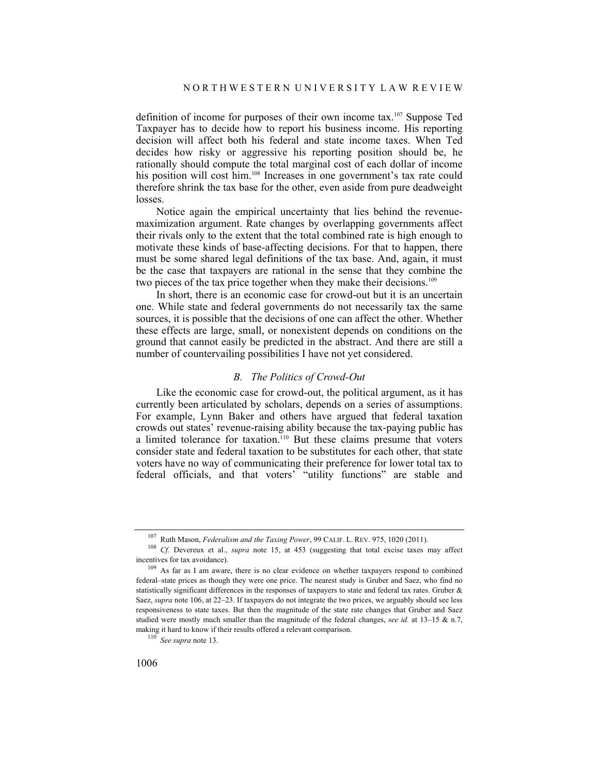definition of income for purposes of their own income tax.107 Suppose Ted Taxpayer has to decide how to report his business income. His reporting decision will affect both his federal and state income taxes. When Ted decides how risky or aggressive his reporting position should be, he rationally should compute the total marginal cost of each dollar of income his position will cost him.<sup>108</sup> Increases in one government's tax rate could therefore shrink the tax base for the other, even aside from pure deadweight losses.

Notice again the empirical uncertainty that lies behind the revenuemaximization argument. Rate changes by overlapping governments affect their rivals only to the extent that the total combined rate is high enough to motivate these kinds of base-affecting decisions. For that to happen, there must be some shared legal definitions of the tax base. And, again, it must be the case that taxpayers are rational in the sense that they combine the two pieces of the tax price together when they make their decisions.<sup>109</sup>

In short, there is an economic case for crowd-out but it is an uncertain one. While state and federal governments do not necessarily tax the same sources, it is possible that the decisions of one can affect the other. Whether these effects are large, small, or nonexistent depends on conditions on the ground that cannot easily be predicted in the abstract. And there are still a number of countervailing possibilities I have not yet considered.

# *B. The Politics of Crowd-Out*

Like the economic case for crowd-out, the political argument, as it has currently been articulated by scholars, depends on a series of assumptions. For example, Lynn Baker and others have argued that federal taxation crowds out states' revenue-raising ability because the tax-paying public has a limited tolerance for taxation.<sup>110</sup> But these claims presume that voters consider state and federal taxation to be substitutes for each other, that state voters have no way of communicating their preference for lower total tax to federal officials, and that voters' "utility functions" are stable and

<sup>107</sup> Ruth Mason, *Federalism and the Taxing Power*, 99 CALIF. L. REV. 975, 1020 (2011).

<sup>108</sup> *Cf.* Devereux et al., *supra* note 15, at 453 (suggesting that total excise taxes may affect incentives for tax avoidance). <sup>109</sup> As far as I am aware, there is no clear evidence on whether taxpayers respond to combined

federal–state prices as though they were one price. The nearest study is Gruber and Saez, who find no statistically significant differences in the responses of taxpayers to state and federal tax rates. Gruber & Saez, *supra* note 106, at 22–23. If taxpayers do not integrate the two prices, we arguably should see less responsiveness to state taxes. But then the magnitude of the state rate changes that Gruber and Saez studied were mostly much smaller than the magnitude of the federal changes, *see id.* at 13–15 & n.7, making it hard to know if their results offered a relevant comparison. 110 *See supra* note 13.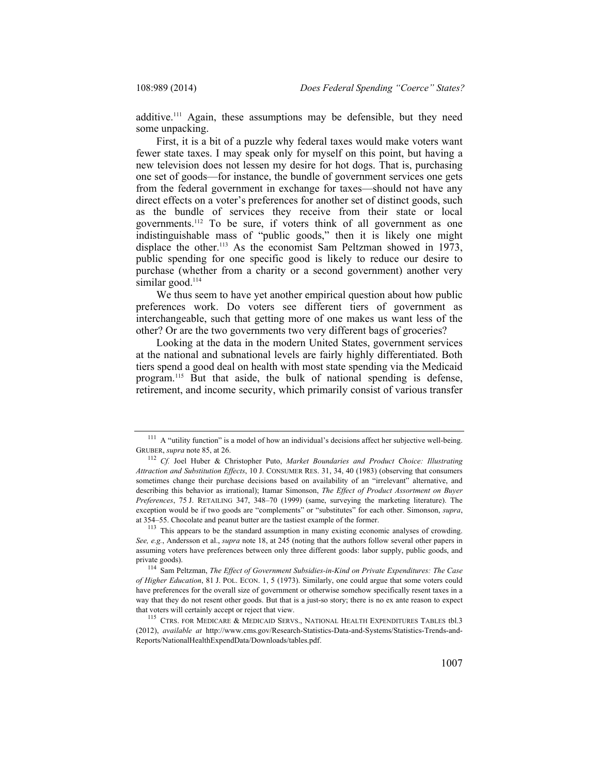additive.111 Again, these assumptions may be defensible, but they need some unpacking.

First, it is a bit of a puzzle why federal taxes would make voters want fewer state taxes. I may speak only for myself on this point, but having a new television does not lessen my desire for hot dogs. That is, purchasing one set of goods—for instance, the bundle of government services one gets from the federal government in exchange for taxes—should not have any direct effects on a voter's preferences for another set of distinct goods, such as the bundle of services they receive from their state or local governments.112 To be sure, if voters think of all government as one indistinguishable mass of "public goods," then it is likely one might displace the other.<sup>113</sup> As the economist Sam Peltzman showed in 1973, public spending for one specific good is likely to reduce our desire to purchase (whether from a charity or a second government) another very similar good.<sup>114</sup>

We thus seem to have yet another empirical question about how public preferences work. Do voters see different tiers of government as interchangeable, such that getting more of one makes us want less of the other? Or are the two governments two very different bags of groceries?

Looking at the data in the modern United States, government services at the national and subnational levels are fairly highly differentiated. Both tiers spend a good deal on health with most state spending via the Medicaid program.115 But that aside, the bulk of national spending is defense, retirement, and income security, which primarily consist of various transfer

<sup>&</sup>lt;sup>111</sup> A "utility function" is a model of how an individual's decisions affect her subjective well-being.<br>GRUBER, *supra* note 85, at 26.

<sup>&</sup>lt;sup>112</sup> Cf. Joel Huber & Christopher Puto, *Market Boundaries and Product Choice: Illustrating Attraction and Substitution Effects*, 10 J. CONSUMER RES. 31, 34, 40 (1983) (observing that consumers sometimes change their purchase decisions based on availability of an "irrelevant" alternative, and describing this behavior as irrational); Itamar Simonson, *The Effect of Product Assortment on Buyer Preferences*, 75 J. RETAILING 347, 348–70 (1999) (same, surveying the marketing literature). The exception would be if two goods are "complements" or "substitutes" for each other. Simonson, *supra*, at 354–55. Chocolate and peanut butter are the tastiest example of the former.<br><sup>113</sup> This appears to be the standard assumption in many existing economic analyses of crowding.

*See, e.g.*, Andersson et al., *supra* note 18, at 245 (noting that the authors follow several other papers in assuming voters have preferences between only three different goods: labor supply, public goods, and private goods). 114 Sam Peltzman, *The Effect of Government Subsidies-in-Kind on Private Expenditures: The Case* 

*of Higher Education*, 81 J. POL. ECON. 1, 5 (1973). Similarly, one could argue that some voters could have preferences for the overall size of government or otherwise somehow specifically resent taxes in a way that they do not resent other goods. But that is a just-so story; there is no ex ante reason to expect that voters will certainly accept or reject that view.<br><sup>115</sup> CTRS. FOR MEDICARE & MEDICAID SERVS., NATIONAL HEALTH EXPENDITURES TABLES tbl.3

<sup>(2012),</sup> *available at* http://www.cms.gov/Research-Statistics-Data-and-Systems/Statistics-Trends-and-Reports/NationalHealthExpendData/Downloads/tables.pdf.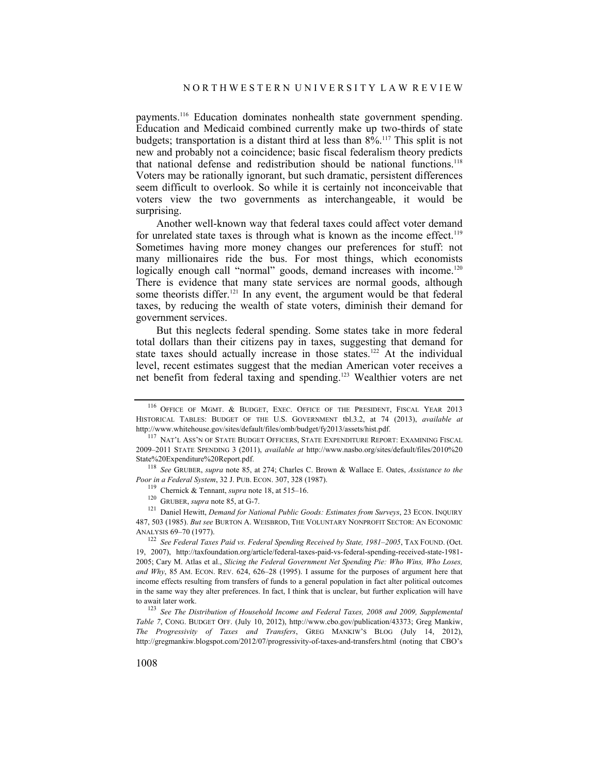payments.116 Education dominates nonhealth state government spending. Education and Medicaid combined currently make up two-thirds of state budgets; transportation is a distant third at less than 8%.117 This split is not new and probably not a coincidence; basic fiscal federalism theory predicts that national defense and redistribution should be national functions.118 Voters may be rationally ignorant, but such dramatic, persistent differences seem difficult to overlook. So while it is certainly not inconceivable that voters view the two governments as interchangeable, it would be surprising.

Another well-known way that federal taxes could affect voter demand for unrelated state taxes is through what is known as the income effect.<sup>119</sup> Sometimes having more money changes our preferences for stuff: not many millionaires ride the bus. For most things, which economists logically enough call "normal" goods, demand increases with income.<sup>120</sup> There is evidence that many state services are normal goods, although some theorists differ.<sup>121</sup> In any event, the argument would be that federal taxes, by reducing the wealth of state voters, diminish their demand for government services.

But this neglects federal spending. Some states take in more federal total dollars than their citizens pay in taxes, suggesting that demand for state taxes should actually increase in those states.<sup>122</sup> At the individual level, recent estimates suggest that the median American voter receives a net benefit from federal taxing and spending.123 Wealthier voters are net

<sup>119</sup> Chernick & Tennant, *supra* note 18, at 515–16. 120 GRUBER, *supra* note 85, at G-7.

<sup>122</sup> See Federal Taxes Paid vs. Federal Spending Received by State, 1981-2005, TAX FOUND. (Oct. 19, 2007), http://taxfoundation.org/article/federal-taxes-paid-vs-federal-spending-received-state-1981- 2005; Cary M. Atlas et al., *Slicing the Federal Government Net Spending Pie: Who Wins, Who Loses, and Why*, 85 AM. ECON. REV. 624, 626–28 (1995). I assume for the purposes of argument here that income effects resulting from transfers of funds to a general population in fact alter political outcomes in the same way they alter preferences. In fact, I think that is unclear, but further explication will have to await later work.

<sup>123</sup> *See The Distribution of Household Income and Federal Taxes, 2008 and 2009, Supplemental Table 7*, CONG. BUDGET OFF. (July 10, 2012), http://www.cbo.gov/publication/43373; Greg Mankiw, *The Progressivity of Taxes and Transfers*, GREG MANKIW'S BLOG (July 14, 2012), http://gregmankiw.blogspot.com/2012/07/progressivity-of-taxes-and-transfers.html (noting that CBO's

<sup>116</sup> OFFICE OF MGMT. & BUDGET, EXEC. OFFICE OF THE PRESIDENT, FISCAL YEAR 2013 HISTORICAL TABLES: BUDGET OF THE U.S. GOVERNMENT tbl.3.2, at 74 (2013), *available at*

http://www.whitehouse.gov/sites/default/files/omb/budget/fy2013/assets/hist.pdf. 117 NAT'L ASS'N OF STATE BUDGET OFFICERS, STATE EXPENDITURE REPORT: EXAMINING FISCAL 2009–2011 STATE SPENDING 3 (2011), *available at* http://www.nasbo.org/sites/default/files/2010%20

<sup>&</sup>lt;sup>118</sup> See GRUBER, *supra* note 85, at 274; Charles C. Brown & Wallace E. Oates, *Assistance to the Poor in a Federal System*, 32 J. PUB. ECON. 307, 328 (1987).

<sup>&</sup>lt;sup>121</sup> Daniel Hewitt, *Demand for National Public Goods: Estimates from Surveys*, 23 ECON. INQUIRY 487, 503 (1985). *But see* BURTON A. WEISBROD, THE VOLUNTARY NONPROFIT SECTOR: AN ECONOMIC ANALYSIS 69–70 (1977).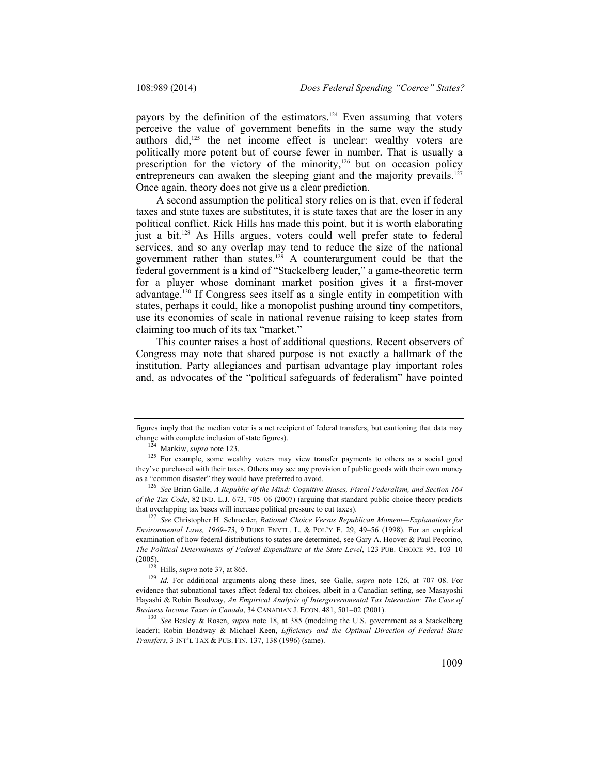payors by the definition of the estimators.124 Even assuming that voters perceive the value of government benefits in the same way the study authors did,<sup>125</sup> the net income effect is unclear: wealthy voters are politically more potent but of course fewer in number. That is usually a prescription for the victory of the minority, $126$  but on occasion policy entrepreneurs can awaken the sleeping giant and the majority prevails.<sup>127</sup> Once again, theory does not give us a clear prediction.

A second assumption the political story relies on is that, even if federal taxes and state taxes are substitutes, it is state taxes that are the loser in any political conflict. Rick Hills has made this point, but it is worth elaborating just a bit.128 As Hills argues, voters could well prefer state to federal services, and so any overlap may tend to reduce the size of the national government rather than states.<sup>129</sup> A counterargument could be that the federal government is a kind of "Stackelberg leader," a game-theoretic term for a player whose dominant market position gives it a first-mover advantage.130 If Congress sees itself as a single entity in competition with states, perhaps it could, like a monopolist pushing around tiny competitors, use its economies of scale in national revenue raising to keep states from claiming too much of its tax "market."

This counter raises a host of additional questions. Recent observers of Congress may note that shared purpose is not exactly a hallmark of the institution. Party allegiances and partisan advantage play important roles and, as advocates of the "political safeguards of federalism" have pointed

figures imply that the median voter is a net recipient of federal transfers, but cautioning that data may change with complete inclusion of state figures).

<sup>124</sup> Mankiw, *supra* note 123.

<sup>&</sup>lt;sup>125</sup> For example, some wealthy voters may view transfer payments to others as a social good they've purchased with their taxes. Others may see any provision of public goods with their own money as a "common disaster" they would have preferred to avoid.

<sup>&</sup>lt;sup>126</sup> See Brian Galle, *A Republic of the Mind: Cognitive Biases, Fiscal Federalism, and Section 164 of the Tax Code*, 82 IND. L.J. 673, 705–06 (2007) (arguing that standard public choice theory predicts that overlapping tax bases will increase political pressure to cut taxes). 127 *See* Christopher H. Schroeder, *Rational Choice Versus Republican Moment—Explanations for* 

*Environmental Laws, 1969–73*, 9 DUKE ENVTL. L. & POL'Y F. 29, 49–56 (1998). For an empirical examination of how federal distributions to states are determined, see Gary A. Hoover & Paul Pecorino, *The Political Determinants of Federal Expenditure at the State Level*, 123 PUB. CHOICE 95, 103-10 (2005).

<sup>&</sup>lt;sup>128</sup> Hills, *supra* note 37, at 865. <sup>129</sup> *Id.* For additional arguments along these lines, see Galle, *supra* note 126, at 707–08. For evidence that subnational taxes affect federal tax choices, albeit in a Canadian setting, see Masayoshi Hayashi & Robin Boadway, *An Empirical Analysis of Intergovernmental Tax Interaction: The Case of Business Income Taxes in Canada*, 34 CANADIAN J. ECON. 481, 501–02 (2001). 130 *See* Besley & Rosen, *supra* note 18, at 385 (modeling the U.S. government as a Stackelberg

leader); Robin Boadway & Michael Keen, *Efficiency and the Optimal Direction of Federal–State Transfers*, 3 INT'L TAX & PUB. FIN. 137, 138 (1996) (same).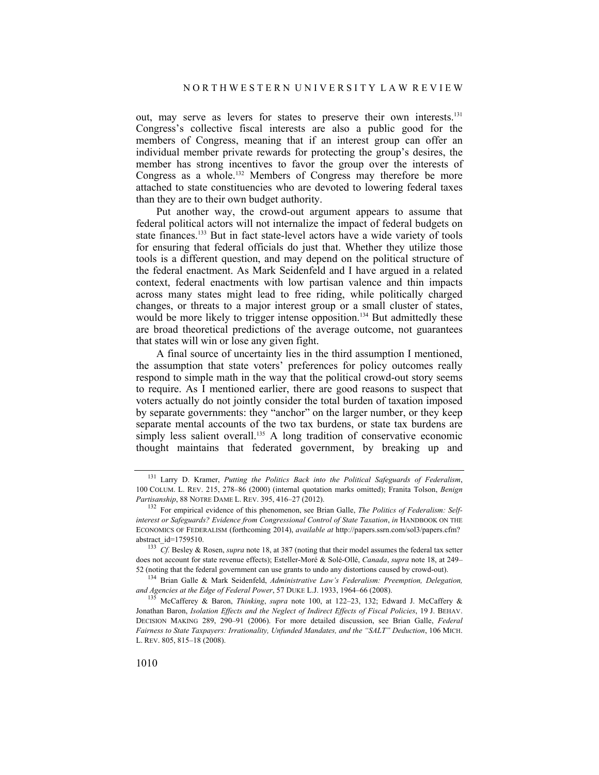out, may serve as levers for states to preserve their own interests.<sup>131</sup> Congress's collective fiscal interests are also a public good for the members of Congress, meaning that if an interest group can offer an individual member private rewards for protecting the group's desires, the member has strong incentives to favor the group over the interests of Congress as a whole.<sup>132</sup> Members of Congress may therefore be more attached to state constituencies who are devoted to lowering federal taxes than they are to their own budget authority.

Put another way, the crowd-out argument appears to assume that federal political actors will not internalize the impact of federal budgets on state finances.<sup>133</sup> But in fact state-level actors have a wide variety of tools for ensuring that federal officials do just that. Whether they utilize those tools is a different question, and may depend on the political structure of the federal enactment. As Mark Seidenfeld and I have argued in a related context, federal enactments with low partisan valence and thin impacts across many states might lead to free riding, while politically charged changes, or threats to a major interest group or a small cluster of states, would be more likely to trigger intense opposition.<sup>134</sup> But admittedly these are broad theoretical predictions of the average outcome, not guarantees that states will win or lose any given fight.

A final source of uncertainty lies in the third assumption I mentioned, the assumption that state voters' preferences for policy outcomes really respond to simple math in the way that the political crowd-out story seems to require. As I mentioned earlier, there are good reasons to suspect that voters actually do not jointly consider the total burden of taxation imposed by separate governments: they "anchor" on the larger number, or they keep separate mental accounts of the two tax burdens, or state tax burdens are simply less salient overall.<sup>135</sup> A long tradition of conservative economic thought maintains that federated government, by breaking up and

<sup>131</sup> Larry D. Kramer, *Putting the Politics Back into the Political Safeguards of Federalism*, 100 COLUM. L. REV. 215, 278–86 (2000) (internal quotation marks omitted); Franita Tolson, *Benign Partisanship*, 88 NOTRE DAME L. REV. 395, 416–27 (2012). 132 For empirical evidence of this phenomenon, see Brian Galle, *The Politics of Federalism: Self-*

*interest or Safeguards? Evidence from Congressional Control of State Taxation*, *in* HANDBOOK ON THE ECONOMICS OF FEDERALISM (forthcoming 2014), *available at* http://papers.ssrn.com/sol3/papers.cfm? abstract\_id=1759510.

<sup>133</sup> *Cf.* Besley & Rosen, *supra* note 18, at 387 (noting that their model assumes the federal tax setter does not account for state revenue effects); Esteller-Moré & Solé-Ollé, *Canada*, *supra* note 18, at 249– 52 (noting that the federal government can use grants to undo any distortions caused by crowd-out).

<sup>&</sup>lt;sup>134</sup> Brian Galle & Mark Seidenfeld, *Administrative Law's Federalism: Preemption, Delegation, and Agencies at the Edge of Federal Power, 57 DUKE L.J. 1933, 1964–66 (2008).* 

*McCafferey & Baron, Thinking, supra* note 100, at 122-23, 132; Edward J. McCaffery & Jonathan Baron, *Isolation Effects and the Neglect of Indirect Effects of Fiscal Policies*, 19 J. BEHAV. DECISION MAKING 289, 290–91 (2006). For more detailed discussion, see Brian Galle, *Federal Fairness to State Taxpayers: Irrationality, Unfunded Mandates, and the "SALT" Deduction*, 106 MICH. L. REV. 805, 815–18 (2008).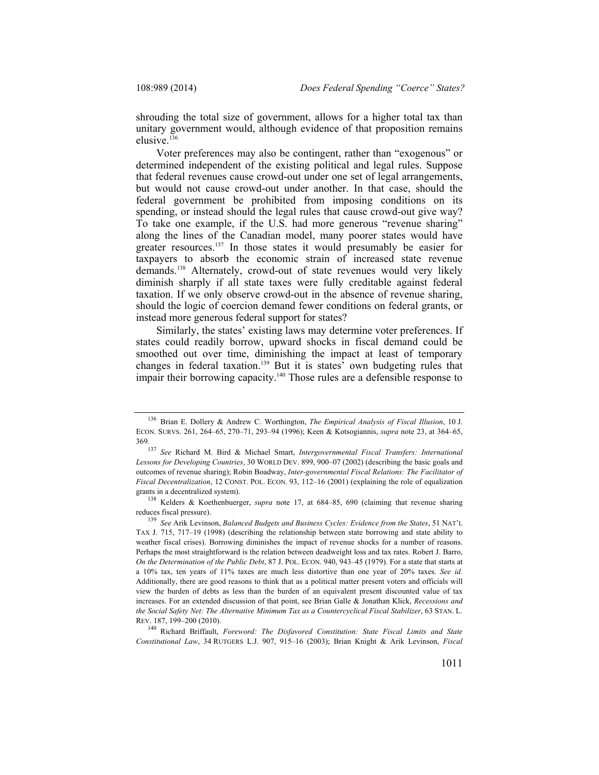shrouding the total size of government, allows for a higher total tax than unitary government would, although evidence of that proposition remains elusive.<sup>136</sup>

Voter preferences may also be contingent, rather than "exogenous" or determined independent of the existing political and legal rules. Suppose that federal revenues cause crowd-out under one set of legal arrangements, but would not cause crowd-out under another. In that case, should the federal government be prohibited from imposing conditions on its spending, or instead should the legal rules that cause crowd-out give way? To take one example, if the U.S. had more generous "revenue sharing" along the lines of the Canadian model, many poorer states would have greater resources.<sup>137</sup> In those states it would presumably be easier for taxpayers to absorb the economic strain of increased state revenue demands.<sup>138</sup> Alternately, crowd-out of state revenues would very likely diminish sharply if all state taxes were fully creditable against federal taxation. If we only observe crowd-out in the absence of revenue sharing, should the logic of coercion demand fewer conditions on federal grants, or instead more generous federal support for states?

Similarly, the states' existing laws may determine voter preferences. If states could readily borrow, upward shocks in fiscal demand could be smoothed out over time, diminishing the impact at least of temporary changes in federal taxation.<sup>139</sup> But it is states<sup>7</sup> own budgeting rules that impair their borrowing capacity.140 Those rules are a defensible response to

<sup>136</sup> Brian E. Dollery & Andrew C. Worthington, *The Empirical Analysis of Fiscal Illusion*, 10 J. ECON. SURVS. 261, 264–65, 270–71, 293–94 (1996); Keen & Kotsogiannis, *supra* note 23, at 364–65,

<sup>369. 137</sup> *See* Richard M. Bird & Michael Smart, *Intergovernmental Fiscal Transfers: International Lessons for Developing Countries*, 30 WORLD DEV. 899, 900–07 (2002) (describing the basic goals and outcomes of revenue sharing); Robin Boadway, *Inter-governmental Fiscal Relations: The Facilitator of Fiscal Decentralization*, 12 CONST. POL. ECON. 93, 112–16 (2001) (explaining the role of equalization grants in a decentralized system).

<sup>&</sup>lt;sup>138</sup> Kelders & Koethenbuerger, *supra* note 17, at 684–85, 690 (claiming that revenue sharing reduces fiscal pressure). 139 *See* Arik Levinson, *Balanced Budgets and Business Cycles: Evidence from the States*, 51 NAT'L

TAX J. 715, 717–19 (1998) (describing the relationship between state borrowing and state ability to weather fiscal crises). Borrowing diminishes the impact of revenue shocks for a number of reasons. Perhaps the most straightforward is the relation between deadweight loss and tax rates. Robert J. Barro, *On the Determination of the Public Debt*, 87 J. POL. ECON. 940, 943–45 (1979). For a state that starts at a 10% tax, ten years of 11% taxes are much less distortive than one year of 20% taxes. *See id.* Additionally, there are good reasons to think that as a political matter present voters and officials will view the burden of debts as less than the burden of an equivalent present discounted value of tax increases. For an extended discussion of that point, see Brian Galle & Jonathan Klick, *Recessions and the Social Safety Net: The Alternative Minimum Tax as a Countercyclical Fiscal Stabilizer*, 63 STAN. L. REV. 187, 199–200 (2010).

<sup>140</sup> Richard Briffault, *Foreword: The Disfavored Constitution: State Fiscal Limits and State Constitutional Law*, 34 RUTGERS L.J. 907, 915–16 (2003); Brian Knight & Arik Levinson, *Fiscal*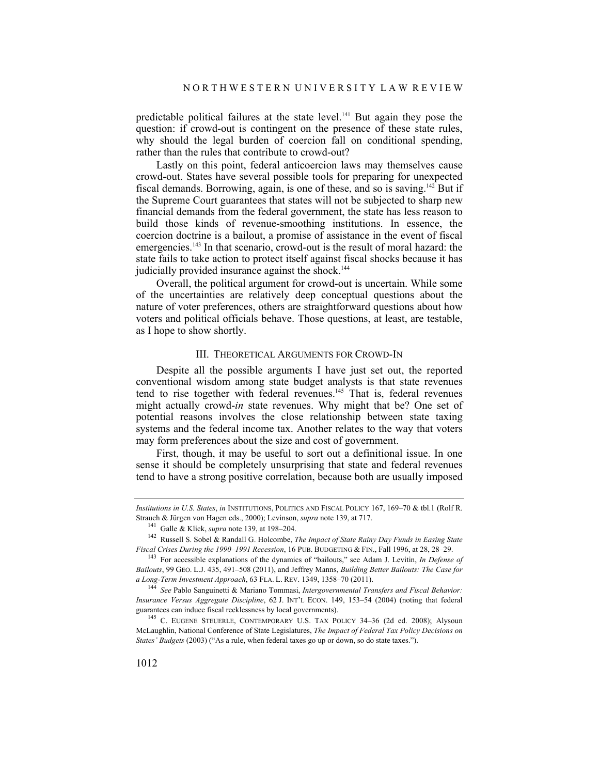predictable political failures at the state level.141 But again they pose the question: if crowd-out is contingent on the presence of these state rules, why should the legal burden of coercion fall on conditional spending, rather than the rules that contribute to crowd-out?

Lastly on this point, federal anticoercion laws may themselves cause crowd-out. States have several possible tools for preparing for unexpected fiscal demands. Borrowing, again, is one of these, and so is saving.142 But if the Supreme Court guarantees that states will not be subjected to sharp new financial demands from the federal government, the state has less reason to build those kinds of revenue-smoothing institutions. In essence, the coercion doctrine is a bailout, a promise of assistance in the event of fiscal emergencies.<sup>143</sup> In that scenario, crowd-out is the result of moral hazard: the state fails to take action to protect itself against fiscal shocks because it has judicially provided insurance against the shock.<sup>144</sup>

Overall, the political argument for crowd-out is uncertain. While some of the uncertainties are relatively deep conceptual questions about the nature of voter preferences, others are straightforward questions about how voters and political officials behave. Those questions, at least, are testable, as I hope to show shortly.

#### III. THEORETICAL ARGUMENTS FOR CROWD-IN

Despite all the possible arguments I have just set out, the reported conventional wisdom among state budget analysts is that state revenues tend to rise together with federal revenues.<sup>145</sup> That is, federal revenues might actually crowd-*in* state revenues. Why might that be? One set of potential reasons involves the close relationship between state taxing systems and the federal income tax. Another relates to the way that voters may form preferences about the size and cost of government.

First, though, it may be useful to sort out a definitional issue. In one sense it should be completely unsurprising that state and federal revenues tend to have a strong positive correlation, because both are usually imposed

*Institutions in U.S. States, in* INSTITUTIONS, POLITICS AND FISCAL POLICY 167, 169-70 & tbl.1 (Rolf R. Strauch & Jürgen von Hagen eds., 2000); Levinson, *supra* note 139, at 717.

<sup>&</sup>lt;sup>141</sup> Galle & Klick, *supra* note 139, at 198–204.<br><sup>142</sup> Russell S. Sobel & Randall G. Holcombe, *The Impact of State Rainy Day Funds in Easing State*<br>*Fiscal Crises During the 1990–1991 Recession*, 16 PUB. BUDGETING & FI

<sup>&</sup>lt;sup>143</sup> For accessible explanations of the dynamics of "bailouts," see Adam J. Levitin, *In Defense of Bailouts*, 99 GEO. L.J. 435, 491–508 (2011), and Jeffrey Manns, *Building Better Bailouts: The Case for* 

<sup>&</sup>lt;sup>144</sup> See Pablo Sanguinetti & Mariano Tommasi, *Intergovernmental Transfers and Fiscal Behavior: Insurance Versus Aggregate Discipline*, 62 J. INT'L ECON. 149, 153–54 (2004) (noting that federal guarantees can induce fiscal recklessness by local governments).

<sup>&</sup>lt;sup>145</sup> C. EUGENE STEUERLE, CONTEMPORARY U.S. TAX POLICY 34-36 (2d ed. 2008); Alysoun McLaughlin, National Conference of State Legislatures, *The Impact of Federal Tax Policy Decisions on States' Budgets* (2003) ("As a rule, when federal taxes go up or down, so do state taxes.").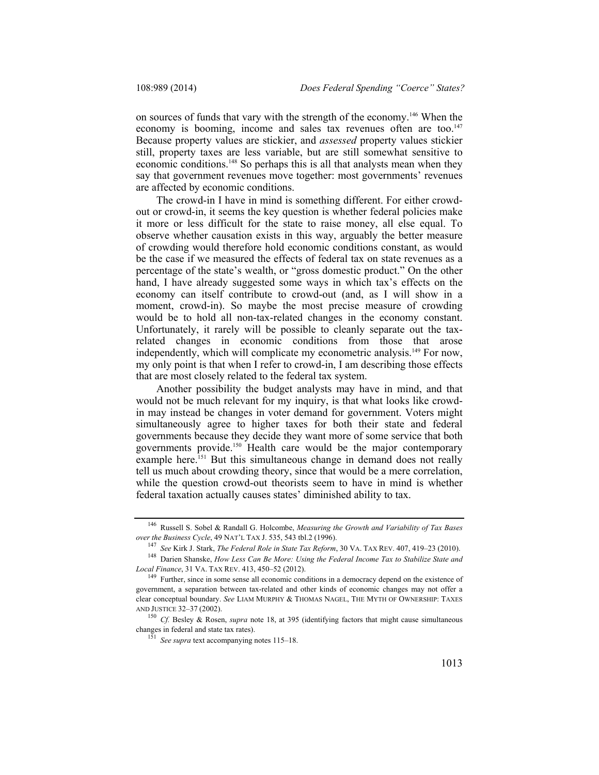on sources of funds that vary with the strength of the economy.146 When the economy is booming, income and sales tax revenues often are too.<sup>147</sup> Because property values are stickier, and *assessed* property values stickier still, property taxes are less variable, but are still somewhat sensitive to economic conditions.148 So perhaps this is all that analysts mean when they say that government revenues move together: most governments' revenues are affected by economic conditions.

The crowd-in I have in mind is something different. For either crowdout or crowd-in, it seems the key question is whether federal policies make it more or less difficult for the state to raise money, all else equal. To observe whether causation exists in this way, arguably the better measure of crowding would therefore hold economic conditions constant, as would be the case if we measured the effects of federal tax on state revenues as a percentage of the state's wealth, or "gross domestic product." On the other hand, I have already suggested some ways in which tax's effects on the economy can itself contribute to crowd-out (and, as I will show in a moment, crowd-in). So maybe the most precise measure of crowding would be to hold all non-tax-related changes in the economy constant. Unfortunately, it rarely will be possible to cleanly separate out the taxrelated changes in economic conditions from those that arose independently, which will complicate my econometric analysis.<sup>149</sup> For now, my only point is that when I refer to crowd-in, I am describing those effects that are most closely related to the federal tax system.

Another possibility the budget analysts may have in mind, and that would not be much relevant for my inquiry, is that what looks like crowdin may instead be changes in voter demand for government. Voters might simultaneously agree to higher taxes for both their state and federal governments because they decide they want more of some service that both governments provide.150 Health care would be the major contemporary example here.<sup>151</sup> But this simultaneous change in demand does not really tell us much about crowding theory, since that would be a mere correlation, while the question crowd-out theorists seem to have in mind is whether federal taxation actually causes states' diminished ability to tax.

<sup>146</sup> Russell S. Sobel & Randall G. Holcombe, *Measuring the Growth and Variability of Tax Bases over the Business Cycle*, 49 NAT'L TAX J. 535, 543 tbl.2 (1996).

<sup>&</sup>lt;sup>148</sup> Darien Shanske, *How Less Can Be More: Using the Federal Income Tax to Stabilize State and Local Finance*, 31 VA. TAX REV. 413, 450–52 (2012).<br><sup>149</sup> Further, since in some sense all economic conditions in a democracy depend on the existence of

government, a separation between tax-related and other kinds of economic changes may not offer a clear conceptual boundary. *See* LIAM MURPHY & THOMAS NAGEL, THE MYTH OF OWNERSHIP: TAXES

AND JUSTICE 32–37 (2002).<br><sup>150</sup> *Cf.* Besley & Rosen, *supra* note 18, at 395 (identifying factors that might cause simultaneous changes in federal and state tax rates).

<sup>&</sup>lt;sup>151</sup> *See supra* text accompanying notes 115–18.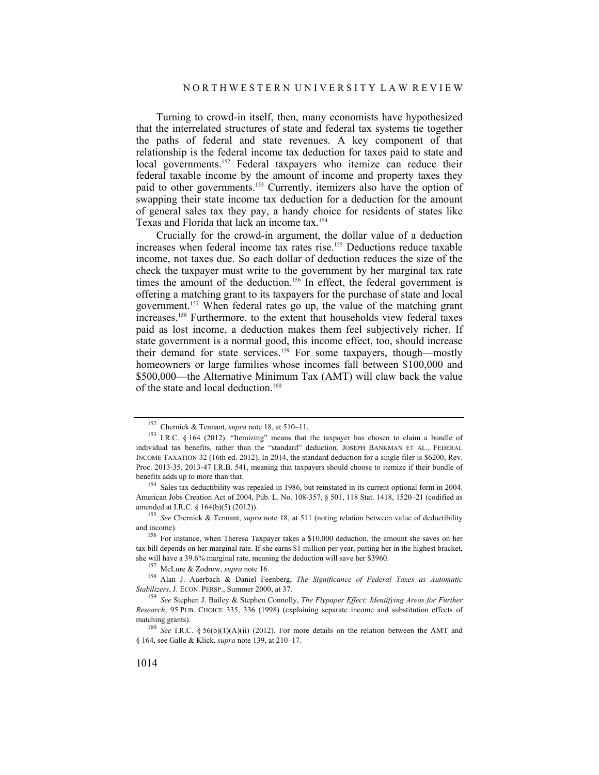Turning to crowd-in itself, then, many economists have hypothesized that the interrelated structures of state and federal tax systems tie together the paths of federal and state revenues. A key component of that relationship is the federal income tax deduction for taxes paid to state and local governments.<sup>152</sup> Federal taxpayers who itemize can reduce their federal taxable income by the amount of income and property taxes they paid to other governments.<sup>153</sup> Currently, itemizers also have the option of swapping their state income tax deduction for a deduction for the amount of general sales tax they pay, a handy choice for residents of states like Texas and Florida that lack an income tax.154

Crucially for the crowd-in argument, the dollar value of a deduction increases when federal income tax rates rise.<sup>155</sup> Deductions reduce taxable income, not taxes due. So each dollar of deduction reduces the size of the check the taxpayer must write to the government by her marginal tax rate times the amount of the deduction.<sup>156</sup> In effect, the federal government is offering a matching grant to its taxpayers for the purchase of state and local government.157 When federal rates go up, the value of the matching grant increases.158 Furthermore, to the extent that households view federal taxes paid as lost income, a deduction makes them feel subjectively richer. If state government is a normal good, this income effect, too, should increase their demand for state services.<sup>159</sup> For some taxpayers, though—mostly homeowners or large families whose incomes fall between \$100,000 and \$500,000—the Alternative Minimum Tax (AMT) will claw back the value of the state and local deduction.<sup>160</sup>

<sup>&</sup>lt;sup>152</sup> Chernick & Tennant, *supra* note 18, at 510–11.<br><sup>153</sup> I.R.C. § 164 (2012). "Itemizing" means that the taxpayer has chosen to claim a bundle of individual tax benefits, rather than the "standard" deduction. JOSEPH BANKMAN ET AL., FEDERAL INCOME TAXATION 32 (16th ed. 2012). In 2014, the standard deduction for a single filer is \$6200, Rev. Proc. 2013-35, 2013-47 I.R.B. 541, meaning that taxpayers should choose to itemize if their bundle of benefits adds up to more than that.

<sup>154</sup> Sales tax deductibility was repealed in 1986, but reinstated in its current optional form in 2004. American Jobs Creation Act of 2004, Pub. L. No. 108-357, § 501, 118 Stat. 1418, 1520–21 (codified as amended at I.R.C. § 164(b)(5) (2012)). 155 *See* Chernick & Tennant, *supra* note 18, at 511 (noting relation between value of deductibility

and income).

<sup>156</sup> For instance, when Theresa Taxpayer takes a \$10,000 deduction, the amount she saves on her tax bill depends on her marginal rate. If she earns \$1 million per year, putting her in the highest bracket, she will have a 39.6% marginal rate, meaning the deduction will save her \$3960. 157 McLure & Zodrow, *supra* note 16. 158 Alan J. Auerbach & Daniel Feenberg, *The Significance of Federal Taxes as Automatic* 

*Stabilizers*, J. ECON. PERSP., Summer 2000, at 37.

<sup>159</sup> *See* Stephen J. Bailey & Stephen Connolly, *The Flypaper Effect: Identifying Areas for Further Research*, 95 PUB. CHOICE 335, 336 (1998) (explaining separate income and substitution effects of matching grants).<br><sup>160</sup> *See* I.R.C. § 56(b)(1)(A)(ii) (2012). For more details on the relation between the AMT and

<sup>§ 164,</sup> see Galle & Klick, *supra* note 139, at 210–17.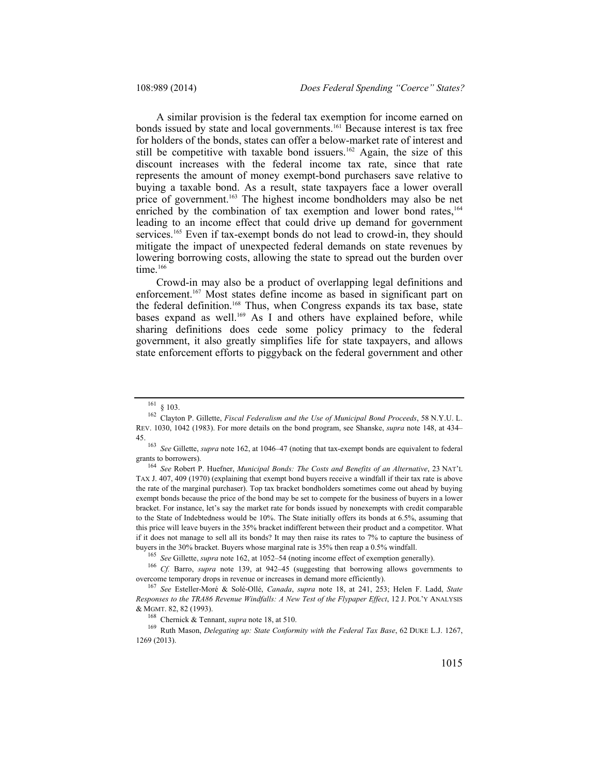A similar provision is the federal tax exemption for income earned on bonds issued by state and local governments.<sup>161</sup> Because interest is tax free for holders of the bonds, states can offer a below-market rate of interest and still be competitive with taxable bond issuers.<sup>162</sup> Again, the size of this discount increases with the federal income tax rate, since that rate represents the amount of money exempt-bond purchasers save relative to buying a taxable bond. As a result, state taxpayers face a lower overall price of government.<sup>163</sup> The highest income bondholders may also be net enriched by the combination of tax exemption and lower bond rates, $164$ leading to an income effect that could drive up demand for government services.<sup>165</sup> Even if tax-exempt bonds do not lead to crowd-in, they should mitigate the impact of unexpected federal demands on state revenues by lowering borrowing costs, allowing the state to spread out the burden over time.<sup>166</sup>

Crowd-in may also be a product of overlapping legal definitions and enforcement.<sup>167</sup> Most states define income as based in significant part on the federal definition.<sup>168</sup> Thus, when Congress expands its tax base, state bases expand as well.<sup>169</sup> As I and others have explained before, while sharing definitions does cede some policy primacy to the federal government, it also greatly simplifies life for state taxpayers, and allows state enforcement efforts to piggyback on the federal government and other

<sup>161 § 103.&</sup>lt;br><sup>162</sup> Clayton P. Gillette, *Fiscal Federalism and the Use of Municipal Bond Proceeds*, 58 N.Y.U. L. REV. 1030, 1042 (1983). For more details on the bond program, see Shanske, *supra* note 148, at 434–

<sup>45. 163</sup> *See* Gillette, *supra* note 162, at 1046–47 (noting that tax-exempt bonds are equivalent to federal

grants to borrowers). 164 *See* Robert P. Huefner, *Municipal Bonds: The Costs and Benefits of an Alternative*, 23 NAT'L TAX J. 407, 409 (1970) (explaining that exempt bond buyers receive a windfall if their tax rate is above the rate of the marginal purchaser). Top tax bracket bondholders sometimes come out ahead by buying exempt bonds because the price of the bond may be set to compete for the business of buyers in a lower bracket. For instance, let's say the market rate for bonds issued by nonexempts with credit comparable to the State of Indebtedness would be 10%. The State initially offers its bonds at 6.5%, assuming that this price will leave buyers in the 35% bracket indifferent between their product and a competitor. What if it does not manage to sell all its bonds? It may then raise its rates to 7% to capture the business of buyers in the 30% bracket. Buyers whose marginal rate is 35% then reap a 0.5% windfall. 165 *See* Gillette, *supra* note 162, at 1052–54 (noting income effect of exemption generally).

<sup>&</sup>lt;sup>166</sup> *Cf.* Barro, *supra* note 139, at 942–45 (suggesting that borrowing allows governments to overcome temporary drops in revenue or increases in demand more efficiently).

<sup>&</sup>lt;sup>167</sup> See Esteller-Moré & Solé-Ollé, *Canada*, *supra* note 18, at 241, 253; Helen F. Ladd, State *Responses to the TRA86 Revenue Windfalls: A New Test of the Flypaper Effect*, 12 J. POL'Y ANALYSIS & MGMT. 82, 82 (1993).

<sup>&</sup>lt;sup>168</sup> Chernick & Tennant, *supra* note 18, at 510.<br><sup>169</sup> Ruth Mason, *Delegating up: State Conformity with the Federal Tax Base*, 62 DUKE L.J. 1267, 1269 (2013).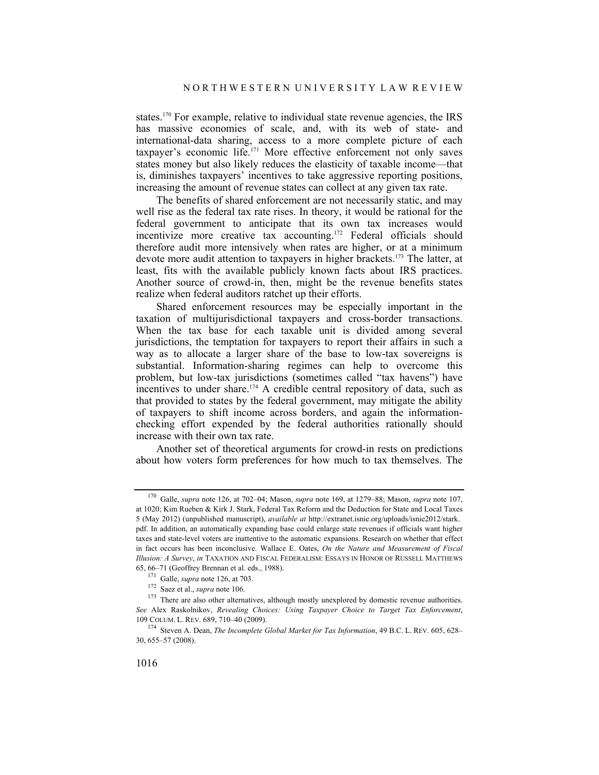states.170 For example, relative to individual state revenue agencies, the IRS has massive economies of scale, and, with its web of state- and international-data sharing, access to a more complete picture of each taxpayer's economic life.<sup>171</sup> More effective enforcement not only saves states money but also likely reduces the elasticity of taxable income—that is, diminishes taxpayers' incentives to take aggressive reporting positions, increasing the amount of revenue states can collect at any given tax rate.

The benefits of shared enforcement are not necessarily static, and may well rise as the federal tax rate rises. In theory, it would be rational for the federal government to anticipate that its own tax increases would incentivize more creative tax accounting.<sup>172</sup> Federal officials should therefore audit more intensively when rates are higher, or at a minimum devote more audit attention to taxpayers in higher brackets.<sup>173</sup> The latter, at least, fits with the available publicly known facts about IRS practices. Another source of crowd-in, then, might be the revenue benefits states realize when federal auditors ratchet up their efforts.

Shared enforcement resources may be especially important in the taxation of multijurisdictional taxpayers and cross-border transactions. When the tax base for each taxable unit is divided among several jurisdictions, the temptation for taxpayers to report their affairs in such a way as to allocate a larger share of the base to low-tax sovereigns is substantial. Information-sharing regimes can help to overcome this problem, but low-tax jurisdictions (sometimes called "tax havens") have incentives to under share.<sup>174</sup> A credible central repository of data, such as that provided to states by the federal government, may mitigate the ability of taxpayers to shift income across borders, and again the informationchecking effort expended by the federal authorities rationally should increase with their own tax rate.

Another set of theoretical arguments for crowd-in rests on predictions about how voters form preferences for how much to tax themselves. The

<sup>170</sup> Galle, *supra* note 126, at 702–04; Mason, *supra* note 169, at 1279–88; Mason, *supra* note 107, at 1020; Kim Rueben & Kirk J. Stark, Federal Tax Reform and the Deduction for State and Local Taxes 5 (May 2012) (unpublished manuscript), *available at* http://extranet.isnie.org/uploads/isnie2012/stark. pdf. In addition, an automatically expanding base could enlarge state revenues if officials want higher taxes and state-level voters are inattentive to the automatic expansions. Research on whether that effect in fact occurs has been inconclusive. Wallace E. Oates, *On the Nature and Measurement of Fiscal Illusion: A Survey*, *in* TAXATION AND FISCAL FEDERALISM: ESSAYS IN HONOR OF RUSSELL MATTHEWS 65, 66–71 (Geoffrey Brennan et al. eds., 1988).

<sup>&</sup>lt;sup>171</sup> Galle, *supra* note 126, at 703.<br><sup>172</sup> Saez et al., *supra* note 106.

<sup>&</sup>lt;sup>173</sup> There are also other alternatives, although mostly unexplored by domestic revenue authorities. *See* Alex Raskolnikov, *Revealing Choices: Using Taxpayer Choice to Target Tax Enforcement*, 109 COLUM. L. REV. 689, 710–40 (2009).

<sup>174</sup> Steven A. Dean, *The Incomplete Global Market for Tax Information*, 49 B.C. L. REV. 605, 628– 30, 655–57 (2008).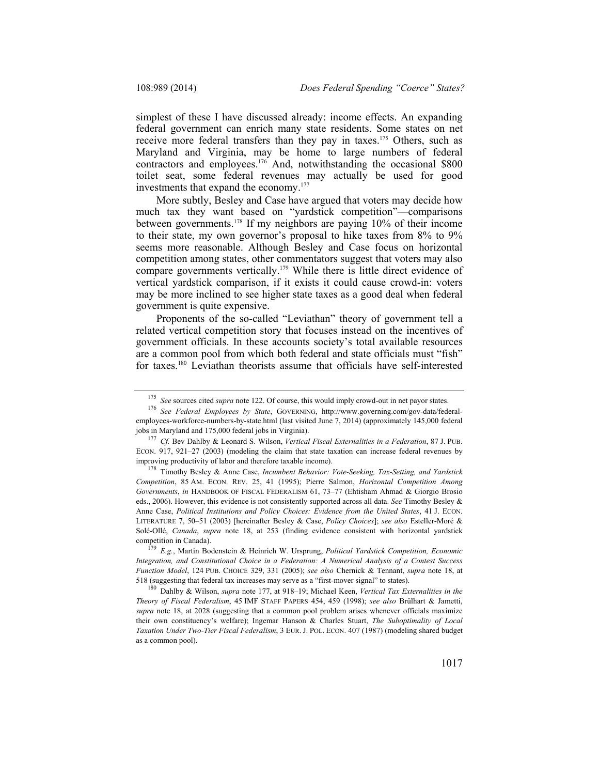simplest of these I have discussed already: income effects. An expanding federal government can enrich many state residents. Some states on net receive more federal transfers than they pay in taxes.<sup>175</sup> Others, such as Maryland and Virginia, may be home to large numbers of federal contractors and employees.176 And, notwithstanding the occasional \$800 toilet seat, some federal revenues may actually be used for good investments that expand the economy.177

More subtly, Besley and Case have argued that voters may decide how much tax they want based on "yardstick competition"—comparisons between governments.178 If my neighbors are paying 10% of their income to their state, my own governor's proposal to hike taxes from 8% to 9% seems more reasonable. Although Besley and Case focus on horizontal competition among states, other commentators suggest that voters may also compare governments vertically.<sup>179</sup> While there is little direct evidence of vertical yardstick comparison, if it exists it could cause crowd-in: voters may be more inclined to see higher state taxes as a good deal when federal government is quite expensive.

Proponents of the so-called "Leviathan" theory of government tell a related vertical competition story that focuses instead on the incentives of government officials. In these accounts society's total available resources are a common pool from which both federal and state officials must "fish" for taxes.180 Leviathan theorists assume that officials have self-interested

<sup>179</sup> *E.g.*, Martin Bodenstein & Heinrich W. Ursprung, *Political Yardstick Competition, Economic Integration, and Constitutional Choice in a Federation: A Numerical Analysis of a Contest Success Function Model*, 124 PUB. CHOICE 329, 331 (2005); *see also* Chernick & Tennant, *supra* note 18, at 518 (suggesting that federal tax increases may serve as a "first-mover signal" to states). 180 Dahlby & Wilson, *supra* note 177, at 918–19; Michael Keen, *Vertical Tax Externalities in the* 

*Theory of Fiscal Federalism*, 45 IMF STAFF PAPERS 454, 459 (1998); *see also* Brülhart & Jametti, *supra* note 18, at 2028 (suggesting that a common pool problem arises whenever officials maximize their own constituency's welfare); Ingemar Hanson & Charles Stuart, *The Suboptimality of Local Taxation Under Two-Tier Fiscal Federalism*, 3 EUR. J. POL. ECON. 407 (1987) (modeling shared budget as a common pool).

<sup>175</sup> *See* sources cited *supra* note 122. Of course, this would imply crowd-out in net payor states. 176 *See Federal Employees by State*, GOVERNING, http://www.governing.com/gov-data/federal-

employees-workforce-numbers-by-state.html (last visited June 7, 2014) (approximately 145,000 federal jobs in Maryland and 175,000 federal jobs in Virginia).

<sup>177</sup> *Cf.* Bev Dahlby & Leonard S. Wilson, *Vertical Fiscal Externalities in a Federation*, 87 J. PUB. ECON. 917, 921–27 (2003) (modeling the claim that state taxation can increase federal revenues by improving productivity of labor and therefore taxable income). 178 Timothy Besley & Anne Case, *Incumbent Behavior: Vote-Seeking, Tax-Setting, and Yardstick* 

*Competition*, 85 AM. ECON. REV. 25, 41 (1995); Pierre Salmon, *Horizontal Competition Among Governments*, *in* HANDBOOK OF FISCAL FEDERALISM 61, 73–77 (Ehtisham Ahmad & Giorgio Brosio eds., 2006). However, this evidence is not consistently supported across all data. *See* Timothy Besley & Anne Case, *Political Institutions and Policy Choices: Evidence from the United States*, 41 J. ECON. LITERATURE 7, 50–51 (2003) [hereinafter Besley & Case, *Policy Choices*]; *see also* Esteller-Moré & Solé-Ollé, *Canada*, *supra* note 18, at 253 (finding evidence consistent with horizontal yardstick competition in Canada).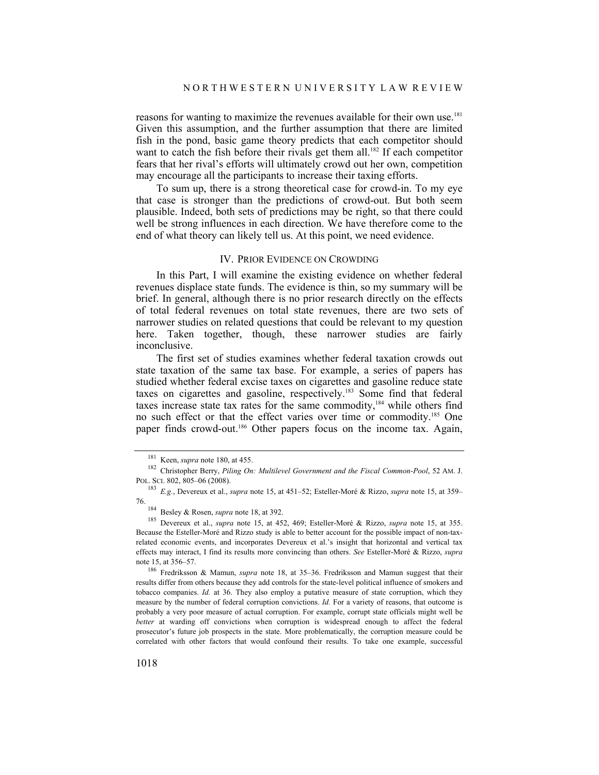reasons for wanting to maximize the revenues available for their own use.<sup>181</sup> Given this assumption, and the further assumption that there are limited fish in the pond, basic game theory predicts that each competitor should want to catch the fish before their rivals get them all.<sup>182</sup> If each competitor fears that her rival's efforts will ultimately crowd out her own, competition may encourage all the participants to increase their taxing efforts.

To sum up, there is a strong theoretical case for crowd-in. To my eye that case is stronger than the predictions of crowd-out. But both seem plausible. Indeed, both sets of predictions may be right, so that there could well be strong influences in each direction. We have therefore come to the end of what theory can likely tell us. At this point, we need evidence.

# IV. PRIOR EVIDENCE ON CROWDING

In this Part, I will examine the existing evidence on whether federal revenues displace state funds. The evidence is thin, so my summary will be brief. In general, although there is no prior research directly on the effects of total federal revenues on total state revenues, there are two sets of narrower studies on related questions that could be relevant to my question here. Taken together, though, these narrower studies are fairly inconclusive.

The first set of studies examines whether federal taxation crowds out state taxation of the same tax base. For example, a series of papers has studied whether federal excise taxes on cigarettes and gasoline reduce state taxes on cigarettes and gasoline, respectively.<sup>183</sup> Some find that federal taxes increase state tax rates for the same commodity, $184$  while others find no such effect or that the effect varies over time or commodity.185 One paper finds crowd-out.<sup>186</sup> Other papers focus on the income tax. Again,

results differ from others because they add controls for the state-level political influence of smokers and tobacco companies. *Id.* at 36. They also employ a putative measure of state corruption, which they measure by the number of federal corruption convictions. *Id.* For a variety of reasons, that outcome is probably a very poor measure of actual corruption. For example, corrupt state officials might well be *better* at warding off convictions when corruption is widespread enough to affect the federal prosecutor's future job prospects in the state. More problematically, the corruption measure could be correlated with other factors that would confound their results. To take one example, successful

<sup>&</sup>lt;sup>181</sup> Keen, *supra* note 180, at 455.<br><sup>182</sup> Christopher Berry, *Piling On: Multilevel Government and the Fiscal Common-Pool*, 52 AM. J.

POL. SCI. 802, 805–06 (2008). 183 *E.g.*, Devereux et al., *supra* note 15, at 451–52; Esteller-Moré & Rizzo, *supra* note 15, at 359– 76.

<sup>&</sup>lt;sup>184</sup> Besley & Rosen, *supra* note 18, at 392.<br><sup>185</sup> Devereux et al., *supra* note 15, at 452, 469; Esteller-Moré & Rizzo, *supra* note 15, at 355. Because the Esteller-Moré and Rizzo study is able to better account for the possible impact of non-taxrelated economic events, and incorporates Devereux et al.'s insight that horizontal and vertical tax effects may interact, I find its results more convincing than others. *See* Esteller-Moré & Rizzo, *supra* note 15, at 356–57.<br><sup>186</sup> Fredriksson & Mamun, *supra* note 18, at 35–36. Fredriksson and Mamun suggest that their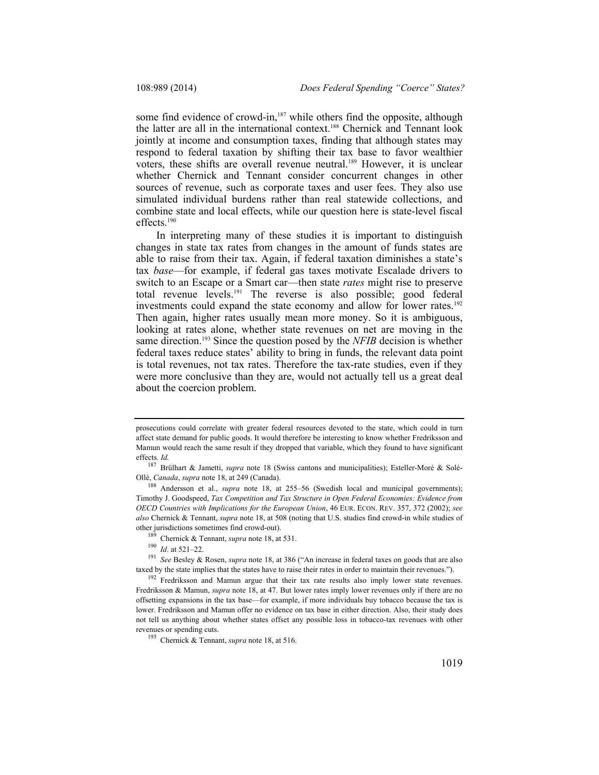some find evidence of crowd-in,<sup>187</sup> while others find the opposite, although the latter are all in the international context.188 Chernick and Tennant look jointly at income and consumption taxes, finding that although states may respond to federal taxation by shifting their tax base to favor wealthier voters, these shifts are overall revenue neutral.189 However, it is unclear whether Chernick and Tennant consider concurrent changes in other sources of revenue, such as corporate taxes and user fees. They also use simulated individual burdens rather than real statewide collections, and combine state and local effects, while our question here is state-level fiscal effects.190

In interpreting many of these studies it is important to distinguish changes in state tax rates from changes in the amount of funds states are able to raise from their tax. Again, if federal taxation diminishes a state's tax *base*—for example, if federal gas taxes motivate Escalade drivers to switch to an Escape or a Smart car—then state *rates* might rise to preserve total revenue levels.<sup>191</sup> The reverse is also possible; good federal investments could expand the state economy and allow for lower rates.<sup>192</sup> Then again, higher rates usually mean more money. So it is ambiguous, looking at rates alone, whether state revenues on net are moving in the same direction.<sup>193</sup> Since the question posed by the *NFIB* decision is whether federal taxes reduce states' ability to bring in funds, the relevant data point is total revenues, not tax rates. Therefore the tax-rate studies, even if they were more conclusive than they are, would not actually tell us a great deal about the coercion problem.

prosecutions could correlate with greater federal resources devoted to the state, which could in turn affect state demand for public goods. It would therefore be interesting to know whether Fredriksson and Mamun would reach the same result if they dropped that variable, which they found to have significant effects. *Id.* 

<sup>187</sup> Brülhart & Jametti, *supra* note 18 (Swiss cantons and municipalities); Esteller-Moré & Solé-Ollé, *Canada*, *supra* note 18, at 249 (Canada). <sup>188</sup> Andersson et al., *supra* note 18, at 255–56 (Swedish local and municipal governments);

Timothy J. Goodspeed, *Tax Competition and Tax Structure in Open Federal Economies: Evidence from OECD Countries with Implications for the European Union*, 46 EUR. ECON. REV. 357, 372 (2002); *see also* Chernick & Tennant, *supra* note 18, at 508 (noting that U.S. studies find crowd-in while studies of other jurisdictions sometimes find crowd-out).

<sup>&</sup>lt;sup>189</sup> Chernick & Tennant, *supra* note 18, at 531.<br><sup>190</sup> *Id.* at 521–22.<br><sup>191</sup> *See* Besley & Rosen, *supra* note 18, at 386 ("An increase in federal taxes on goods that are also taxed by the state implies that the states have to raise their rates in order to maintain their revenues."). <sup>192</sup> Fredriksson and Mamun argue that their tax rate results also imply lower state revenues.

Fredriksson & Mamun, *supra* note 18, at 47. But lower rates imply lower revenues only if there are no offsetting expansions in the tax base—for example, if more individuals buy tobacco because the tax is lower. Fredriksson and Mamun offer no evidence on tax base in either direction. Also, their study does not tell us anything about whether states offset any possible loss in tobacco-tax revenues with other revenues or spending cuts.

<sup>193</sup> Chernick & Tennant, *supra* note 18, at 516.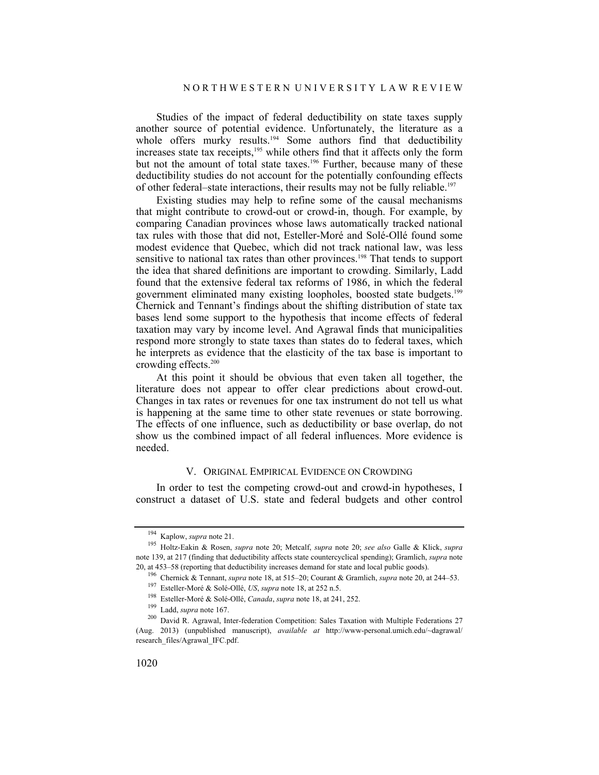Studies of the impact of federal deductibility on state taxes supply another source of potential evidence. Unfortunately, the literature as a whole offers murky results.<sup>194</sup> Some authors find that deductibility increases state tax receipts,<sup>195</sup> while others find that it affects only the form but not the amount of total state taxes.<sup>196</sup> Further, because many of these deductibility studies do not account for the potentially confounding effects of other federal–state interactions, their results may not be fully reliable.<sup>197</sup>

Existing studies may help to refine some of the causal mechanisms that might contribute to crowd-out or crowd-in, though. For example, by comparing Canadian provinces whose laws automatically tracked national tax rules with those that did not, Esteller-Moré and Solé-Ollé found some modest evidence that Quebec, which did not track national law, was less sensitive to national tax rates than other provinces.<sup>198</sup> That tends to support the idea that shared definitions are important to crowding. Similarly, Ladd found that the extensive federal tax reforms of 1986, in which the federal government eliminated many existing loopholes, boosted state budgets.199 Chernick and Tennant's findings about the shifting distribution of state tax bases lend some support to the hypothesis that income effects of federal taxation may vary by income level. And Agrawal finds that municipalities respond more strongly to state taxes than states do to federal taxes, which he interprets as evidence that the elasticity of the tax base is important to crowding effects.200

At this point it should be obvious that even taken all together, the literature does not appear to offer clear predictions about crowd-out. Changes in tax rates or revenues for one tax instrument do not tell us what is happening at the same time to other state revenues or state borrowing. The effects of one influence, such as deductibility or base overlap, do not show us the combined impact of all federal influences. More evidence is needed.

#### V. ORIGINAL EMPIRICAL EVIDENCE ON CROWDING

In order to test the competing crowd-out and crowd-in hypotheses, I construct a dataset of U.S. state and federal budgets and other control

<sup>194</sup> Kaplow, *supra* note 21.

<sup>195</sup> Holtz-Eakin & Rosen, *supra* note 20; Metcalf, *supra* note 20; *see also* Galle & Klick, *supra*  note 139, at 217 (finding that deductibility affects state countercyclical spending); Gramlich, *supra* note 20, at 453–58 (reporting that deductibility increases demand for state and local public goods).<br><sup>196</sup> Chernick & Tennant, *supra* note 18, at 515–20; Courant & Gramlich, *supra* note 20, at 244–53.

<sup>&</sup>lt;sup>197</sup> Esteller-Moré & Solé-Ollé, *US, supra* note 18, at 252 n.5.<br><sup>198</sup> Esteller-Moré & Solé-Ollé, *Canada, supra* note 18, at 241, 252.<br><sup>199</sup> Ladd, *supra* note 167.<br><sup>200</sup> David R. Agrawal, Inter-federation Competition: (Aug. 2013) (unpublished manuscript), *available at* http://www-personal.umich.edu/~dagrawal/ research\_files/Agrawal\_IFC.pdf.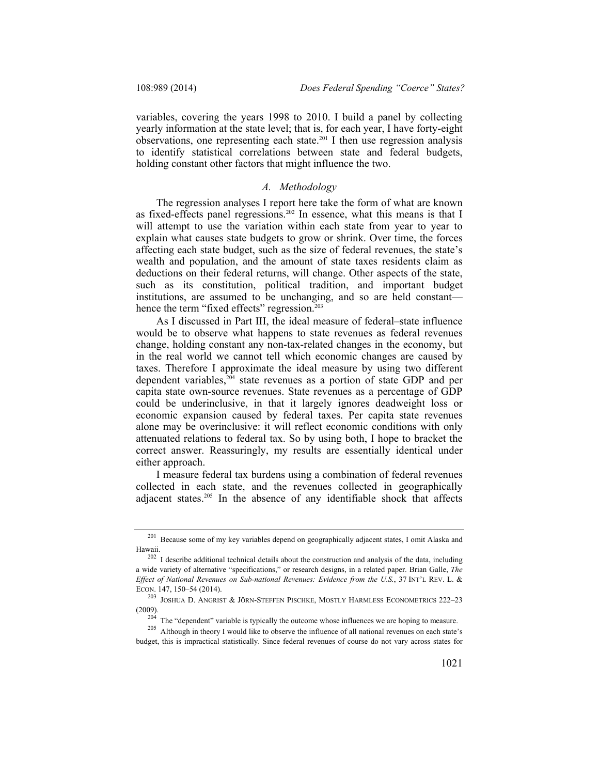variables, covering the years 1998 to 2010. I build a panel by collecting yearly information at the state level; that is, for each year, I have forty-eight observations, one representing each state.201 I then use regression analysis to identify statistical correlations between state and federal budgets, holding constant other factors that might influence the two.

# *A. Methodology*

The regression analyses I report here take the form of what are known as fixed-effects panel regressions.<sup>202</sup> In essence, what this means is that I will attempt to use the variation within each state from year to year to explain what causes state budgets to grow or shrink. Over time, the forces affecting each state budget, such as the size of federal revenues, the state's wealth and population, and the amount of state taxes residents claim as deductions on their federal returns, will change. Other aspects of the state, such as its constitution, political tradition, and important budget institutions, are assumed to be unchanging, and so are held constant hence the term "fixed effects" regression.<sup>203</sup>

As I discussed in Part III, the ideal measure of federal–state influence would be to observe what happens to state revenues as federal revenues change, holding constant any non-tax-related changes in the economy, but in the real world we cannot tell which economic changes are caused by taxes. Therefore I approximate the ideal measure by using two different dependent variables,  $204$  state revenues as a portion of state GDP and per capita state own-source revenues. State revenues as a percentage of GDP could be underinclusive, in that it largely ignores deadweight loss or economic expansion caused by federal taxes. Per capita state revenues alone may be overinclusive: it will reflect economic conditions with only attenuated relations to federal tax. So by using both, I hope to bracket the correct answer. Reassuringly, my results are essentially identical under either approach.

I measure federal tax burdens using a combination of federal revenues collected in each state, and the revenues collected in geographically adjacent states.205 In the absence of any identifiable shock that affects

<sup>201</sup> Because some of my key variables depend on geographically adjacent states, I omit Alaska and Hawaii. 202 I describe additional technical details about the construction and analysis of the data, including

a wide variety of alternative "specifications," or research designs, in a related paper. Brian Galle, *The Effect of National Revenues on Sub-national Revenues: Evidence from the U.S.*, 37 INT'L REV. L. & ECON. 147, 150–54 (2014).

<sup>203</sup> JOSHUA D. ANGRIST & JÖRN-STEFFEN PISCHKE, MOSTLY HARMLESS ECONOMETRICS 222–23 (2009).

<sup>&</sup>lt;sup>204</sup> The "dependent" variable is typically the outcome whose influences we are hoping to measure.<br><sup>205</sup> Although in theory I would like to observe the influence of all national revenues on each state's budget, this is impractical statistically. Since federal revenues of course do not vary across states for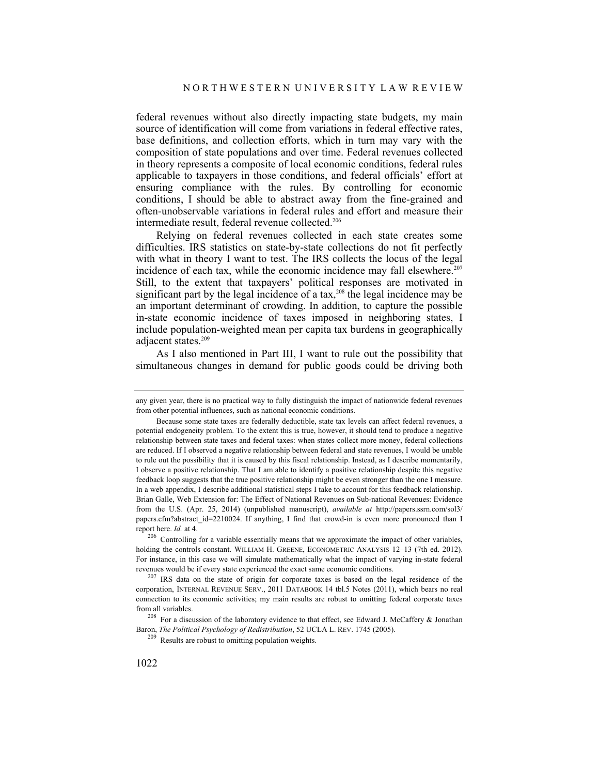federal revenues without also directly impacting state budgets, my main source of identification will come from variations in federal effective rates, base definitions, and collection efforts, which in turn may vary with the composition of state populations and over time. Federal revenues collected in theory represents a composite of local economic conditions, federal rules applicable to taxpayers in those conditions, and federal officials' effort at ensuring compliance with the rules. By controlling for economic conditions, I should be able to abstract away from the fine-grained and often-unobservable variations in federal rules and effort and measure their intermediate result, federal revenue collected.206

Relying on federal revenues collected in each state creates some difficulties. IRS statistics on state-by-state collections do not fit perfectly with what in theory I want to test. The IRS collects the locus of the legal incidence of each tax, while the economic incidence may fall elsewhere.<sup>207</sup> Still, to the extent that taxpayers' political responses are motivated in significant part by the legal incidence of a tax,<sup>208</sup> the legal incidence may be an important determinant of crowding. In addition, to capture the possible in-state economic incidence of taxes imposed in neighboring states, I include population-weighted mean per capita tax burdens in geographically adjacent states.<sup>209</sup>

As I also mentioned in Part III, I want to rule out the possibility that simultaneous changes in demand for public goods could be driving both

any given year, there is no practical way to fully distinguish the impact of nationwide federal revenues from other potential influences, such as national economic conditions.

Because some state taxes are federally deductible, state tax levels can affect federal revenues, a potential endogeneity problem. To the extent this is true, however, it should tend to produce a negative relationship between state taxes and federal taxes: when states collect more money, federal collections are reduced. If I observed a negative relationship between federal and state revenues, I would be unable to rule out the possibility that it is caused by this fiscal relationship. Instead, as I describe momentarily, I observe a positive relationship. That I am able to identify a positive relationship despite this negative feedback loop suggests that the true positive relationship might be even stronger than the one I measure. In a web appendix, I describe additional statistical steps I take to account for this feedback relationship. Brian Galle, Web Extension for: The Effect of National Revenues on Sub-national Revenues: Evidence from the U.S. (Apr. 25, 2014) (unpublished manuscript), *available at* http://papers.ssrn.com/sol3/ papers.cfm?abstract\_id=2210024. If anything, I find that crowd-in is even more pronounced than I

report here. *Id.* at 4. 206 Controlling for a variable essentially means that we approximate the impact of other variables, holding the controls constant. WILLIAM H. GREENE, ECONOMETRIC ANALYSIS 12-13 (7th ed. 2012). For instance, in this case we will simulate mathematically what the impact of varying in-state federal revenues would be if every state experienced the exact same economic conditions.

<sup>&</sup>lt;sup>207</sup> IRS data on the state of origin for corporate taxes is based on the legal residence of the corporation, INTERNAL REVENUE SERV., 2011 DATABOOK 14 tbl.5 Notes (2011), which bears no real connection to its economic activities; my main results are robust to omitting federal corporate taxes from all variables.

<sup>&</sup>lt;sup>208</sup> For a discussion of the laboratory evidence to that effect, see Edward J. McCaffery & Jonathan Baron, *The Political Psychology of Redistribution*, 52 UCLA L. REV. 1745 (2005). 209 Results are robust to omitting population weights.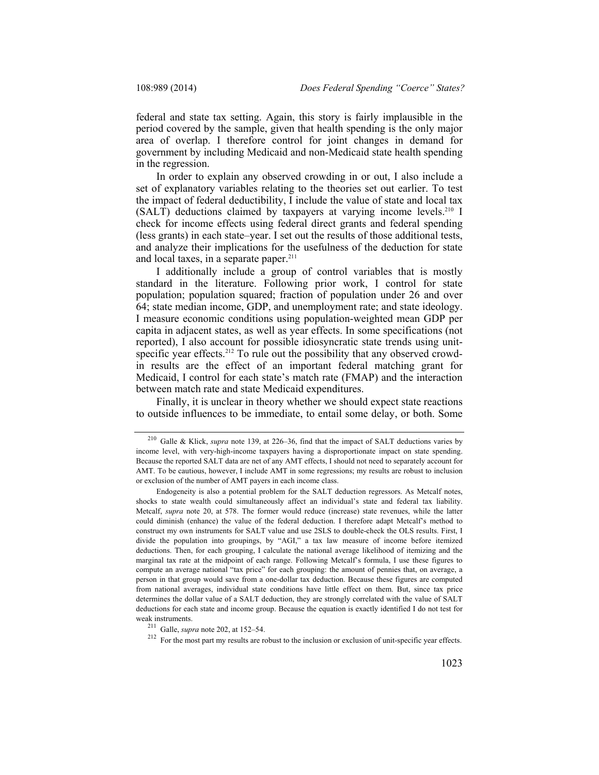federal and state tax setting. Again, this story is fairly implausible in the period covered by the sample, given that health spending is the only major area of overlap. I therefore control for joint changes in demand for government by including Medicaid and non-Medicaid state health spending in the regression.

In order to explain any observed crowding in or out, I also include a set of explanatory variables relating to the theories set out earlier. To test the impact of federal deductibility, I include the value of state and local tax (SALT) deductions claimed by taxpayers at varying income levels.210 I check for income effects using federal direct grants and federal spending (less grants) in each state–year. I set out the results of those additional tests, and analyze their implications for the usefulness of the deduction for state and local taxes, in a separate paper.<sup>211</sup>

I additionally include a group of control variables that is mostly standard in the literature. Following prior work, I control for state population; population squared; fraction of population under 26 and over 64; state median income, GDP, and unemployment rate; and state ideology. I measure economic conditions using population-weighted mean GDP per capita in adjacent states, as well as year effects. In some specifications (not reported), I also account for possible idiosyncratic state trends using unitspecific year effects.<sup>212</sup> To rule out the possibility that any observed crowdin results are the effect of an important federal matching grant for Medicaid, I control for each state's match rate (FMAP) and the interaction between match rate and state Medicaid expenditures.

Finally, it is unclear in theory whether we should expect state reactions to outside influences to be immediate, to entail some delay, or both. Some

<sup>210</sup> Galle & Klick, *supra* note 139, at 226–36, find that the impact of SALT deductions varies by income level, with very-high-income taxpayers having a disproportionate impact on state spending. Because the reported SALT data are net of any AMT effects, I should not need to separately account for AMT. To be cautious, however, I include AMT in some regressions; my results are robust to inclusion or exclusion of the number of AMT payers in each income class.

Endogeneity is also a potential problem for the SALT deduction regressors. As Metcalf notes, shocks to state wealth could simultaneously affect an individual's state and federal tax liability. Metcalf, *supra* note 20, at 578. The former would reduce (increase) state revenues, while the latter could diminish (enhance) the value of the federal deduction. I therefore adapt Metcalf's method to construct my own instruments for SALT value and use 2SLS to double-check the OLS results. First, I divide the population into groupings, by "AGI," a tax law measure of income before itemized deductions. Then, for each grouping, I calculate the national average likelihood of itemizing and the marginal tax rate at the midpoint of each range. Following Metcalf's formula, I use these figures to compute an average national "tax price" for each grouping: the amount of pennies that, on average, a person in that group would save from a one-dollar tax deduction. Because these figures are computed from national averages, individual state conditions have little effect on them. But, since tax price determines the dollar value of a SALT deduction, they are strongly correlated with the value of SALT deductions for each state and income group. Because the equation is exactly identified I do not test for weak instruments.

<sup>211</sup> Galle, *supra* note 202, at 152–54.

<sup>&</sup>lt;sup>212</sup> For the most part my results are robust to the inclusion or exclusion of unit-specific year effects.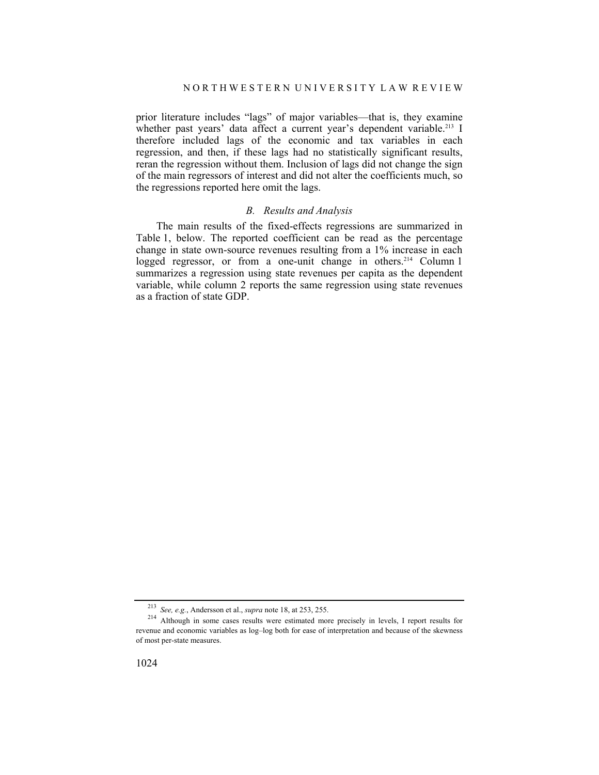prior literature includes "lags" of major variables—that is, they examine whether past years' data affect a current year's dependent variable.<sup>213</sup> I therefore included lags of the economic and tax variables in each regression, and then, if these lags had no statistically significant results, reran the regression without them. Inclusion of lags did not change the sign of the main regressors of interest and did not alter the coefficients much, so the regressions reported here omit the lags.

## *B. Results and Analysis*

The main results of the fixed-effects regressions are summarized in Table 1, below. The reported coefficient can be read as the percentage change in state own-source revenues resulting from a 1% increase in each logged regressor, or from a one-unit change in others.<sup>214</sup> Column 1 summarizes a regression using state revenues per capita as the dependent variable, while column 2 reports the same regression using state revenues as a fraction of state GDP.

<sup>213</sup> *See, e.g.*, Andersson et al., *supra* note 18, at 253, 255.

<sup>214</sup> Although in some cases results were estimated more precisely in levels, I report results for revenue and economic variables as log–log both for ease of interpretation and because of the skewness of most per-state measures.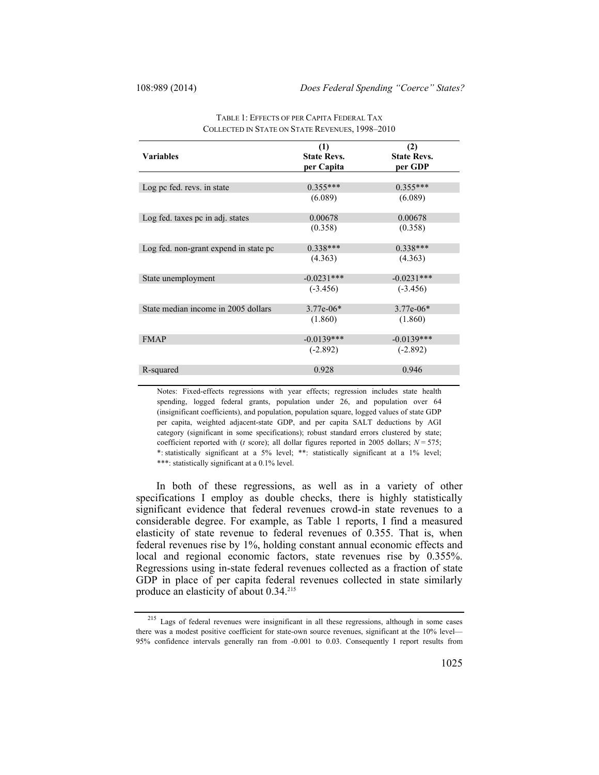| <b>Variables</b>                      | (1)<br><b>State Revs.</b> | (2)<br><b>State Revs.</b> |
|---------------------------------------|---------------------------|---------------------------|
|                                       | per Capita                | per GDP                   |
|                                       |                           |                           |
| Log pc fed. revs. in state            | $0.355***$                | $0.355***$                |
|                                       | (6.089)                   | (6.089)                   |
| Log fed. taxes pc in adj. states      | 0.00678                   | 0.00678                   |
|                                       | (0.358)                   | (0.358)                   |
| Log fed. non-grant expend in state pc | $0.338***$                | $0.338***$                |
|                                       | (4.363)                   | (4.363)                   |
| State unemployment                    | $-0.0231***$              | $-0.0231***$              |
|                                       | $(-3.456)$                | $(-3.456)$                |
| State median income in 2005 dollars   | $3.77e-06*$               | $3.77e-06*$               |
|                                       | (1.860)                   | (1.860)                   |
| <b>FMAP</b>                           | $-0.0139***$              | $-0.0139***$              |
|                                       | $(-2.892)$                | $(-2.892)$                |
| R-squared                             | 0.928                     | 0.946                     |
|                                       |                           |                           |

TABLE 1: EFFECTS OF PER CAPITA FEDERAL TAX COLLECTED IN STATE ON STATE REVENUES, 1998–2010

Notes: Fixed-effects regressions with year effects; regression includes state health spending, logged federal grants, population under 26, and population over 64 (insignificant coefficients), and population, population square, logged values of state GDP per capita, weighted adjacent-state GDP, and per capita SALT deductions by AGI category (significant in some specifications); robust standard errors clustered by state; coefficient reported with (*t* score); all dollar figures reported in 2005 dollars;  $N = 575$ ; \*: statistically significant at a 5% level; \*\*: statistically significant at a 1% level; \*\*\*: statistically significant at a 0.1% level.

In both of these regressions, as well as in a variety of other specifications I employ as double checks, there is highly statistically significant evidence that federal revenues crowd-in state revenues to a considerable degree. For example, as Table 1 reports, I find a measured elasticity of state revenue to federal revenues of 0.355. That is, when federal revenues rise by 1%, holding constant annual economic effects and local and regional economic factors, state revenues rise by 0.355%. Regressions using in-state federal revenues collected as a fraction of state GDP in place of per capita federal revenues collected in state similarly produce an elasticity of about 0.34.<sup>215</sup>

<sup>215</sup> Lags of federal revenues were insignificant in all these regressions, although in some cases there was a modest positive coefficient for state-own source revenues, significant at the 10% level— 95% confidence intervals generally ran from -0.001 to 0.03. Consequently I report results from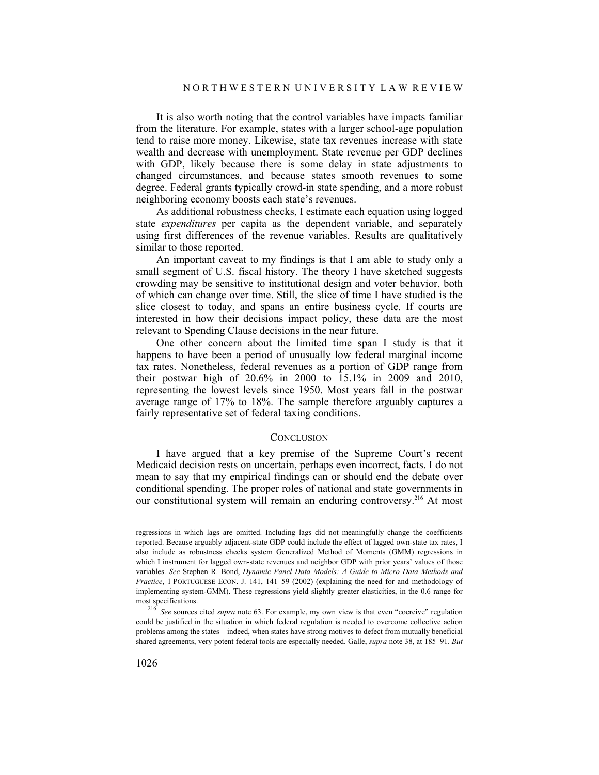It is also worth noting that the control variables have impacts familiar from the literature. For example, states with a larger school-age population tend to raise more money. Likewise, state tax revenues increase with state wealth and decrease with unemployment. State revenue per GDP declines with GDP, likely because there is some delay in state adjustments to changed circumstances, and because states smooth revenues to some degree. Federal grants typically crowd-in state spending, and a more robust neighboring economy boosts each state's revenues.

As additional robustness checks, I estimate each equation using logged state *expenditures* per capita as the dependent variable, and separately using first differences of the revenue variables. Results are qualitatively similar to those reported.

An important caveat to my findings is that I am able to study only a small segment of U.S. fiscal history. The theory I have sketched suggests crowding may be sensitive to institutional design and voter behavior, both of which can change over time. Still, the slice of time I have studied is the slice closest to today, and spans an entire business cycle. If courts are interested in how their decisions impact policy, these data are the most relevant to Spending Clause decisions in the near future.

One other concern about the limited time span I study is that it happens to have been a period of unusually low federal marginal income tax rates. Nonetheless, federal revenues as a portion of GDP range from their postwar high of 20.6% in 2000 to 15.1% in 2009 and 2010, representing the lowest levels since 1950. Most years fall in the postwar average range of 17% to 18%. The sample therefore arguably captures a fairly representative set of federal taxing conditions.

#### **CONCLUSION**

I have argued that a key premise of the Supreme Court's recent Medicaid decision rests on uncertain, perhaps even incorrect, facts. I do not mean to say that my empirical findings can or should end the debate over conditional spending. The proper roles of national and state governments in our constitutional system will remain an enduring controversy.<sup>216</sup> At most

regressions in which lags are omitted. Including lags did not meaningfully change the coefficients reported. Because arguably adjacent-state GDP could include the effect of lagged own-state tax rates, I also include as robustness checks system Generalized Method of Moments (GMM) regressions in which I instrument for lagged own-state revenues and neighbor GDP with prior years' values of those variables. *See* Stephen R. Bond, *Dynamic Panel Data Models: A Guide to Micro Data Methods and Practice*, 1 PORTUGUESE ECON. J. 141, 141–59 (2002) (explaining the need for and methodology of implementing system-GMM). These regressions yield slightly greater elasticities, in the 0.6 range for most specifications.<br><sup>216</sup> *See* sources cited *supra* note 63. For example, my own view is that even "coercive" regulation

could be justified in the situation in which federal regulation is needed to overcome collective action problems among the states—indeed, when states have strong motives to defect from mutually beneficial shared agreements, very potent federal tools are especially needed. Galle, *supra* note 38, at 185–91. *But*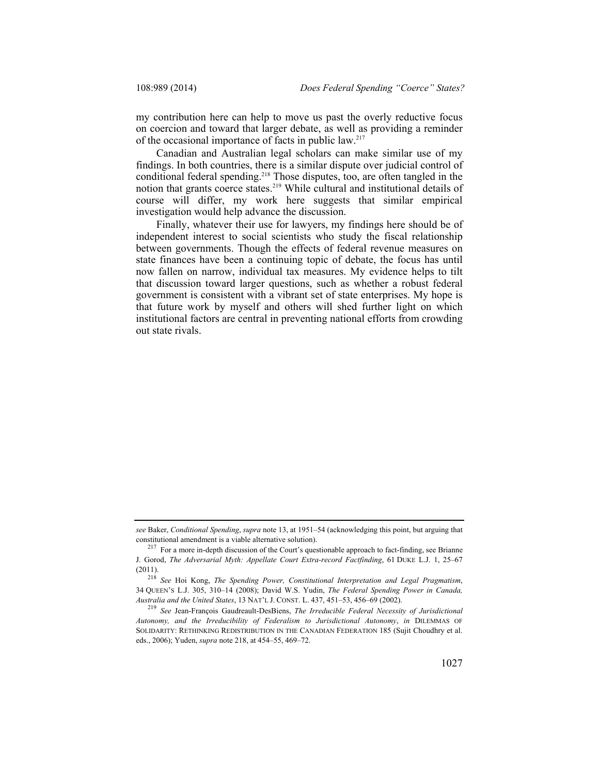my contribution here can help to move us past the overly reductive focus on coercion and toward that larger debate, as well as providing a reminder of the occasional importance of facts in public law.217

Canadian and Australian legal scholars can make similar use of my findings. In both countries, there is a similar dispute over judicial control of conditional federal spending.<sup>218</sup> Those disputes, too, are often tangled in the notion that grants coerce states.<sup>219</sup> While cultural and institutional details of course will differ, my work here suggests that similar empirical investigation would help advance the discussion.

Finally, whatever their use for lawyers, my findings here should be of independent interest to social scientists who study the fiscal relationship between governments. Though the effects of federal revenue measures on state finances have been a continuing topic of debate, the focus has until now fallen on narrow, individual tax measures. My evidence helps to tilt that discussion toward larger questions, such as whether a robust federal government is consistent with a vibrant set of state enterprises. My hope is that future work by myself and others will shed further light on which institutional factors are central in preventing national efforts from crowding out state rivals.

*see* Baker, *Conditional Spending*, *supra* note 13, at 1951–54 (acknowledging this point, but arguing that constitutional amendment is a viable alternative solution).

<sup>&</sup>lt;sup>217</sup> For a more in-depth discussion of the Court's questionable approach to fact-finding, see Brianne J. Gorod, *The Adversarial Myth: Appellate Court Extra-record Factfinding*, 61 DUKE L.J. 1, 25–67 (2011).

<sup>218</sup> *See* Hoi Kong, *The Spending Power, Constitutional Interpretation and Legal Pragmatism*, 34 QUEEN'S L.J. 305, 310–14 (2008); David W.S. Yudin, *The Federal Spending Power in Canada, Australia and the United States*, 13 NAT'L J. CONST. L. 437, 451–53, 456–69 (2002).

<sup>219</sup> *See* Jean-François Gaudreault-DesBiens, *The Irreducible Federal Necessity of Jurisdictional Autonomy, and the Irreducibility of Federalism to Jurisdictional Autonomy*, *in* DILEMMAS OF SOLIDARITY: RETHINKING REDISTRIBUTION IN THE CANADIAN FEDERATION 185 (Sujit Choudhry et al. eds., 2006); Yuden, *supra* note 218, at 454–55, 469–72.